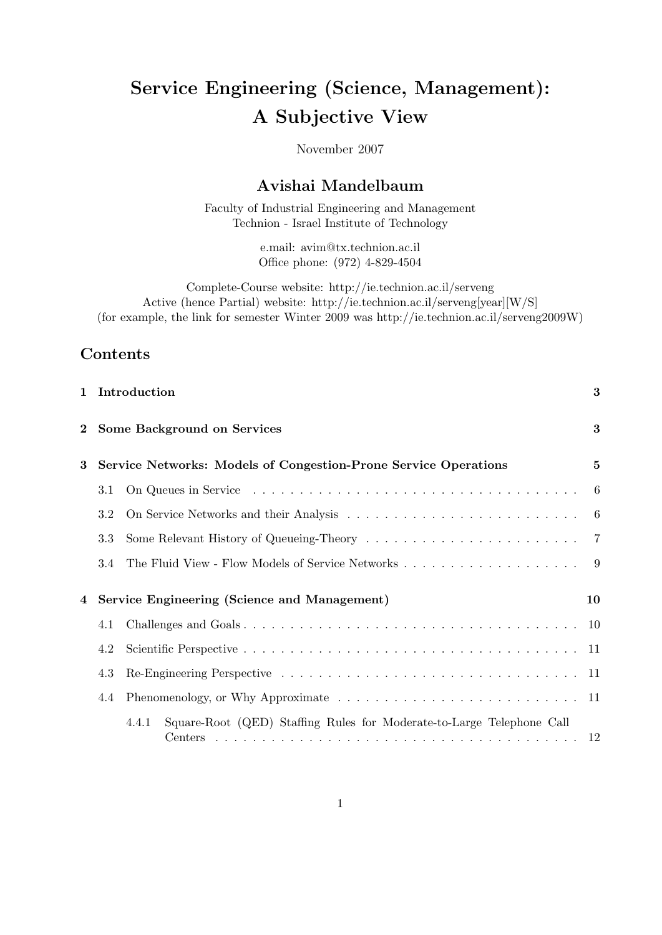# Service Engineering (Science, Management): A Subjective View

November 2007

## Avishai Mandelbaum

Faculty of Industrial Engineering and Management Technion - Israel Institute of Technology

> e.mail: avim@tx.technion.ac.il Office phone: (972) 4-829-4504

Complete-Course website: http://ie.technion.ac.il/serveng Active (hence Partial) website: http://ie.technion.ac.il/serveng[year][W/S] (for example, the link for semester Winter 2009 was http://ie.technion.ac.il/serveng2009W)

## Contents

|          |     | 1 Introduction                                                                 | 3        |
|----------|-----|--------------------------------------------------------------------------------|----------|
| $\bf{2}$ |     | <b>Some Background on Services</b>                                             | $\bf{3}$ |
| 3        |     | Service Networks: Models of Congestion-Prone Service Operations                | $\bf{5}$ |
|          | 3.1 |                                                                                | -6       |
|          | 3.2 |                                                                                | $-6$     |
|          | 3.3 |                                                                                |          |
|          | 3.4 |                                                                                | -9       |
| 4        |     | Service Engineering (Science and Management)                                   | 10       |
|          | 4.1 |                                                                                |          |
|          | 4.2 |                                                                                |          |
|          | 4.3 |                                                                                |          |
|          | 4.4 |                                                                                |          |
|          |     | Square-Root (QED) Staffing Rules for Moderate-to-Large Telephone Call<br>4.4.1 |          |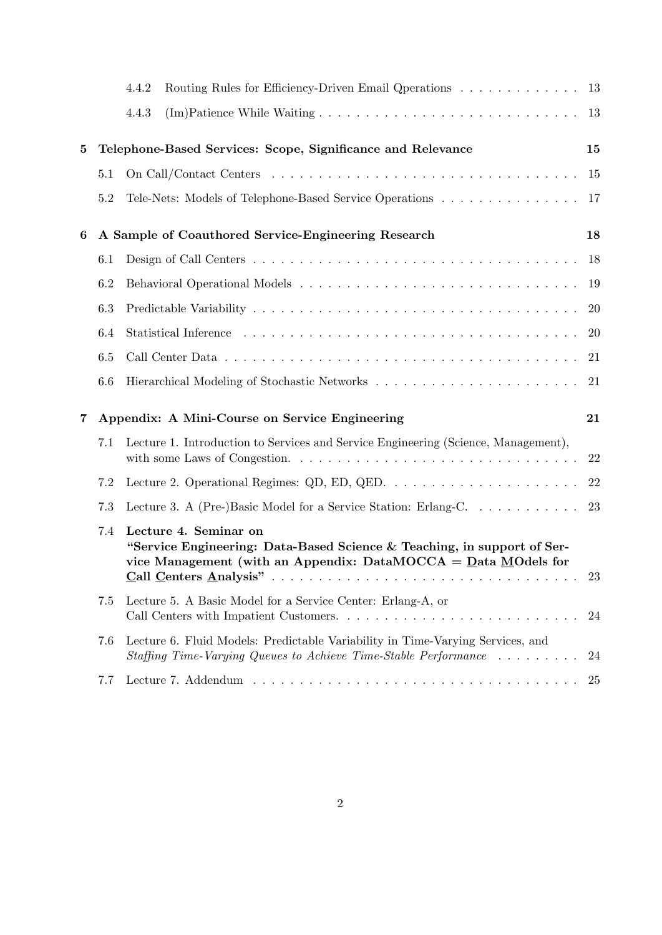|   |                                                      | Routing Rules for Efficiency-Driven Email Qperations 13<br>4.4.2                                                                                                                                                                                                                                                                                                                                                                |           |  |  |
|---|------------------------------------------------------|---------------------------------------------------------------------------------------------------------------------------------------------------------------------------------------------------------------------------------------------------------------------------------------------------------------------------------------------------------------------------------------------------------------------------------|-----------|--|--|
|   |                                                      | 4.4.3                                                                                                                                                                                                                                                                                                                                                                                                                           | -13       |  |  |
| 5 |                                                      | Telephone-Based Services: Scope, Significance and Relevance                                                                                                                                                                                                                                                                                                                                                                     | 15        |  |  |
|   | 5.1                                                  |                                                                                                                                                                                                                                                                                                                                                                                                                                 | 15        |  |  |
|   | 5.2                                                  | Tele-Nets: Models of Telephone-Based Service Operations                                                                                                                                                                                                                                                                                                                                                                         | 17        |  |  |
| 6 |                                                      | A Sample of Coauthored Service-Engineering Research                                                                                                                                                                                                                                                                                                                                                                             | 18        |  |  |
|   | 6.1                                                  |                                                                                                                                                                                                                                                                                                                                                                                                                                 | 18        |  |  |
|   | 6.2                                                  |                                                                                                                                                                                                                                                                                                                                                                                                                                 | 19        |  |  |
|   | 6.3                                                  |                                                                                                                                                                                                                                                                                                                                                                                                                                 | <b>20</b> |  |  |
|   | 6.4                                                  |                                                                                                                                                                                                                                                                                                                                                                                                                                 | 20        |  |  |
|   | 6.5                                                  |                                                                                                                                                                                                                                                                                                                                                                                                                                 | 21        |  |  |
|   | 6.6                                                  |                                                                                                                                                                                                                                                                                                                                                                                                                                 | 21        |  |  |
| 7 | Appendix: A Mini-Course on Service Engineering<br>21 |                                                                                                                                                                                                                                                                                                                                                                                                                                 |           |  |  |
|   | 7.1                                                  | Lecture 1. Introduction to Services and Service Engineering (Science, Management),                                                                                                                                                                                                                                                                                                                                              | 22        |  |  |
|   | 7.2                                                  |                                                                                                                                                                                                                                                                                                                                                                                                                                 | 22        |  |  |
|   | 7.3                                                  | Lecture 3. A (Pre-)Basic Model for a Service Station: Erlang-C. 23                                                                                                                                                                                                                                                                                                                                                              |           |  |  |
|   | 7.4                                                  | Lecture 4. Seminar on<br>"Service Engineering: Data-Based Science & Teaching, in support of Ser-<br>vice Management (with an Appendix: DataMOCCA = $Data$ MOdels for<br>Call Centers Analysis"<br>a constitution of the constitution of the constitution of the constitution of the constitution of the constitution of the constitution of the constitution of the constitution of the constitution of the constitution of the | 23        |  |  |
|   | 7.5                                                  | Lecture 5. A Basic Model for a Service Center: Erlang-A, or                                                                                                                                                                                                                                                                                                                                                                     | 24        |  |  |
|   | 7.6                                                  | Lecture 6. Fluid Models: Predictable Variability in Time-Varying Services, and<br>Staffing Time-Varying Queues to Achieve Time-Stable Performance                                                                                                                                                                                                                                                                               | 24        |  |  |
|   | 7.7                                                  |                                                                                                                                                                                                                                                                                                                                                                                                                                 | 25        |  |  |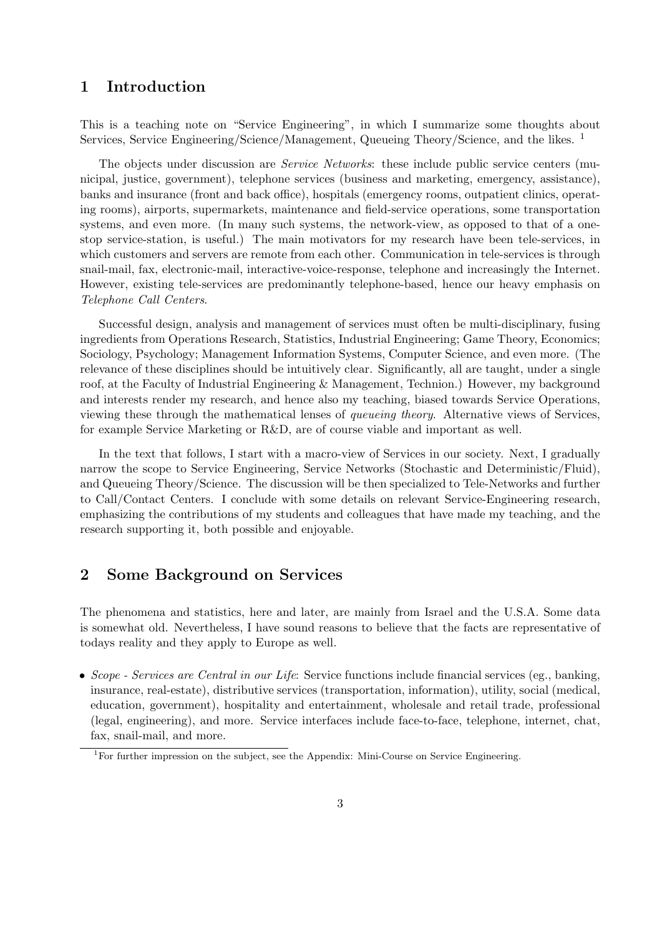## 1 Introduction

This is a teaching note on "Service Engineering", in which I summarize some thoughts about Services, Service Engineering/Science/Management, Queueing Theory/Science, and the likes. <sup>1</sup>

The objects under discussion are *Service Networks*: these include public service centers (municipal, justice, government), telephone services (business and marketing, emergency, assistance), banks and insurance (front and back office), hospitals (emergency rooms, outpatient clinics, operating rooms), airports, supermarkets, maintenance and field-service operations, some transportation systems, and even more. (In many such systems, the network-view, as opposed to that of a onestop service-station, is useful.) The main motivators for my research have been tele-services, in which customers and servers are remote from each other. Communication in tele-services is through snail-mail, fax, electronic-mail, interactive-voice-response, telephone and increasingly the Internet. However, existing tele-services are predominantly telephone-based, hence our heavy emphasis on Telephone Call Centers.

Successful design, analysis and management of services must often be multi-disciplinary, fusing ingredients from Operations Research, Statistics, Industrial Engineering; Game Theory, Economics; Sociology, Psychology; Management Information Systems, Computer Science, and even more. (The relevance of these disciplines should be intuitively clear. Significantly, all are taught, under a single roof, at the Faculty of Industrial Engineering & Management, Technion.) However, my background and interests render my research, and hence also my teaching, biased towards Service Operations, viewing these through the mathematical lenses of queueing theory. Alternative views of Services, for example Service Marketing or R&D, are of course viable and important as well.

In the text that follows, I start with a macro-view of Services in our society. Next, I gradually narrow the scope to Service Engineering, Service Networks (Stochastic and Deterministic/Fluid), and Queueing Theory/Science. The discussion will be then specialized to Tele-Networks and further to Call/Contact Centers. I conclude with some details on relevant Service-Engineering research, emphasizing the contributions of my students and colleagues that have made my teaching, and the research supporting it, both possible and enjoyable.

## 2 Some Background on Services

The phenomena and statistics, here and later, are mainly from Israel and the U.S.A. Some data is somewhat old. Nevertheless, I have sound reasons to believe that the facts are representative of todays reality and they apply to Europe as well.

• Scope - Services are Central in our Life: Service functions include financial services (eg., banking, insurance, real-estate), distributive services (transportation, information), utility, social (medical, education, government), hospitality and entertainment, wholesale and retail trade, professional (legal, engineering), and more. Service interfaces include face-to-face, telephone, internet, chat, fax, snail-mail, and more.

<sup>1</sup>For further impression on the subject, see the Appendix: Mini-Course on Service Engineering.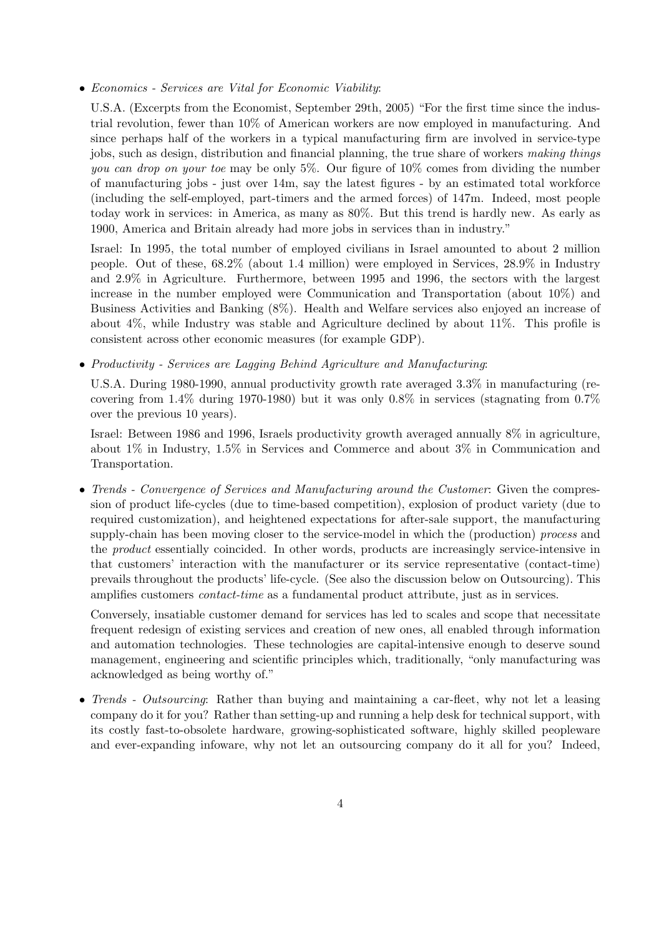• Economics - Services are Vital for Economic Viability:

U.S.A. (Excerpts from the Economist, September 29th, 2005) "For the first time since the industrial revolution, fewer than 10% of American workers are now employed in manufacturing. And since perhaps half of the workers in a typical manufacturing firm are involved in service-type jobs, such as design, distribution and financial planning, the true share of workers making things you can drop on your toe may be only  $5\%$ . Our figure of  $10\%$  comes from dividing the number of manufacturing jobs - just over 14m, say the latest figures - by an estimated total workforce (including the self-employed, part-timers and the armed forces) of 147m. Indeed, most people today work in services: in America, as many as 80%. But this trend is hardly new. As early as 1900, America and Britain already had more jobs in services than in industry."

Israel: In 1995, the total number of employed civilians in Israel amounted to about 2 million people. Out of these, 68.2% (about 1.4 million) were employed in Services, 28.9% in Industry and 2.9% in Agriculture. Furthermore, between 1995 and 1996, the sectors with the largest increase in the number employed were Communication and Transportation (about 10%) and Business Activities and Banking (8%). Health and Welfare services also enjoyed an increase of about  $4\%$ , while Industry was stable and Agriculture declined by about  $11\%$ . This profile is consistent across other economic measures (for example GDP).

• Productivity - Services are Lagging Behind Agriculture and Manufacturing:

U.S.A. During 1980-1990, annual productivity growth rate averaged 3.3% in manufacturing (recovering from  $1.4\%$  during 1970-1980) but it was only  $0.8\%$  in services (stagnating from  $0.7\%$ over the previous 10 years).

Israel: Between 1986 and 1996, Israels productivity growth averaged annually 8% in agriculture, about 1% in Industry, 1.5% in Services and Commerce and about 3% in Communication and Transportation.

• Trends - Convergence of Services and Manufacturing around the Customer: Given the compression of product life-cycles (due to time-based competition), explosion of product variety (due to required customization), and heightened expectations for after-sale support, the manufacturing supply-chain has been moving closer to the service-model in which the (production) process and the product essentially coincided. In other words, products are increasingly service-intensive in that customers' interaction with the manufacturer or its service representative (contact-time) prevails throughout the products' life-cycle. (See also the discussion below on Outsourcing). This amplifies customers contact-time as a fundamental product attribute, just as in services.

Conversely, insatiable customer demand for services has led to scales and scope that necessitate frequent redesign of existing services and creation of new ones, all enabled through information and automation technologies. These technologies are capital-intensive enough to deserve sound management, engineering and scientific principles which, traditionally, "only manufacturing was acknowledged as being worthy of."

• Trends - Outsourcing: Rather than buying and maintaining a car-fleet, why not let a leasing company do it for you? Rather than setting-up and running a help desk for technical support, with its costly fast-to-obsolete hardware, growing-sophisticated software, highly skilled peopleware and ever-expanding infoware, why not let an outsourcing company do it all for you? Indeed,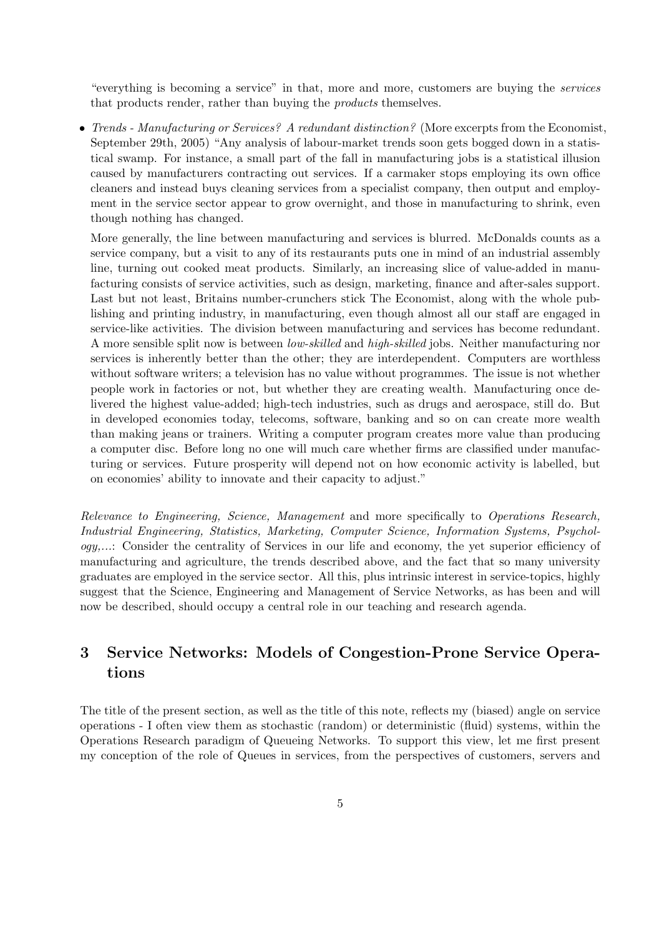"everything is becoming a service" in that, more and more, customers are buying the services that products render, rather than buying the products themselves.

• Trends - Manufacturing or Services? A redundant distinction? (More excerpts from the Economist, September 29th, 2005) "Any analysis of labour-market trends soon gets bogged down in a statistical swamp. For instance, a small part of the fall in manufacturing jobs is a statistical illusion caused by manufacturers contracting out services. If a carmaker stops employing its own office cleaners and instead buys cleaning services from a specialist company, then output and employment in the service sector appear to grow overnight, and those in manufacturing to shrink, even though nothing has changed.

More generally, the line between manufacturing and services is blurred. McDonalds counts as a service company, but a visit to any of its restaurants puts one in mind of an industrial assembly line, turning out cooked meat products. Similarly, an increasing slice of value-added in manufacturing consists of service activities, such as design, marketing, finance and after-sales support. Last but not least, Britains number-crunchers stick The Economist, along with the whole publishing and printing industry, in manufacturing, even though almost all our staff are engaged in service-like activities. The division between manufacturing and services has become redundant. A more sensible split now is between low-skilled and high-skilled jobs. Neither manufacturing nor services is inherently better than the other; they are interdependent. Computers are worthless without software writers; a television has no value without programmes. The issue is not whether people work in factories or not, but whether they are creating wealth. Manufacturing once delivered the highest value-added; high-tech industries, such as drugs and aerospace, still do. But in developed economies today, telecoms, software, banking and so on can create more wealth than making jeans or trainers. Writing a computer program creates more value than producing a computer disc. Before long no one will much care whether firms are classified under manufacturing or services. Future prosperity will depend not on how economic activity is labelled, but on economies' ability to innovate and their capacity to adjust."

Relevance to Engineering, Science, Management and more specifically to Operations Research, Industrial Engineering, Statistics, Marketing, Computer Science, Information Systems, Psychology,...: Consider the centrality of Services in our life and economy, the yet superior efficiency of manufacturing and agriculture, the trends described above, and the fact that so many university graduates are employed in the service sector. All this, plus intrinsic interest in service-topics, highly suggest that the Science, Engineering and Management of Service Networks, as has been and will now be described, should occupy a central role in our teaching and research agenda.

## 3 Service Networks: Models of Congestion-Prone Service Operations

The title of the present section, as well as the title of this note, reflects my (biased) angle on service operations - I often view them as stochastic (random) or deterministic (fluid) systems, within the Operations Research paradigm of Queueing Networks. To support this view, let me first present my conception of the role of Queues in services, from the perspectives of customers, servers and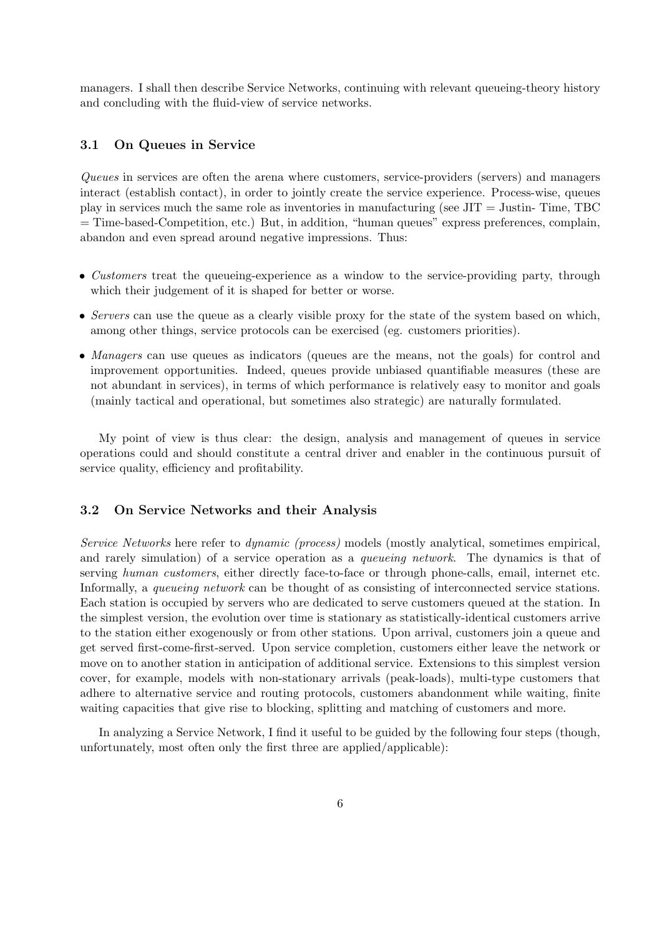managers. I shall then describe Service Networks, continuing with relevant queueing-theory history and concluding with the fluid-view of service networks.

### 3.1 On Queues in Service

Queues in services are often the arena where customers, service-providers (servers) and managers interact (establish contact), in order to jointly create the service experience. Process-wise, queues play in services much the same role as inventories in manufacturing (see JIT = Justin- Time, TBC = Time-based-Competition, etc.) But, in addition, "human queues" express preferences, complain, abandon and even spread around negative impressions. Thus:

- Customers treat the queueing-experience as a window to the service-providing party, through which their judgement of it is shaped for better or worse.
- Servers can use the queue as a clearly visible proxy for the state of the system based on which, among other things, service protocols can be exercised (eg. customers priorities).
- Managers can use queues as indicators (queues are the means, not the goals) for control and improvement opportunities. Indeed, queues provide unbiased quantifiable measures (these are not abundant in services), in terms of which performance is relatively easy to monitor and goals (mainly tactical and operational, but sometimes also strategic) are naturally formulated.

My point of view is thus clear: the design, analysis and management of queues in service operations could and should constitute a central driver and enabler in the continuous pursuit of service quality, efficiency and profitability.

### 3.2 On Service Networks and their Analysis

Service Networks here refer to dynamic (process) models (mostly analytical, sometimes empirical, and rarely simulation) of a service operation as a queueing network. The dynamics is that of serving human customers, either directly face-to-face or through phone-calls, email, internet etc. Informally, a queueing network can be thought of as consisting of interconnected service stations. Each station is occupied by servers who are dedicated to serve customers queued at the station. In the simplest version, the evolution over time is stationary as statistically-identical customers arrive to the station either exogenously or from other stations. Upon arrival, customers join a queue and get served first-come-first-served. Upon service completion, customers either leave the network or move on to another station in anticipation of additional service. Extensions to this simplest version cover, for example, models with non-stationary arrivals (peak-loads), multi-type customers that adhere to alternative service and routing protocols, customers abandonment while waiting, finite waiting capacities that give rise to blocking, splitting and matching of customers and more.

In analyzing a Service Network, I find it useful to be guided by the following four steps (though, unfortunately, most often only the first three are applied/applicable):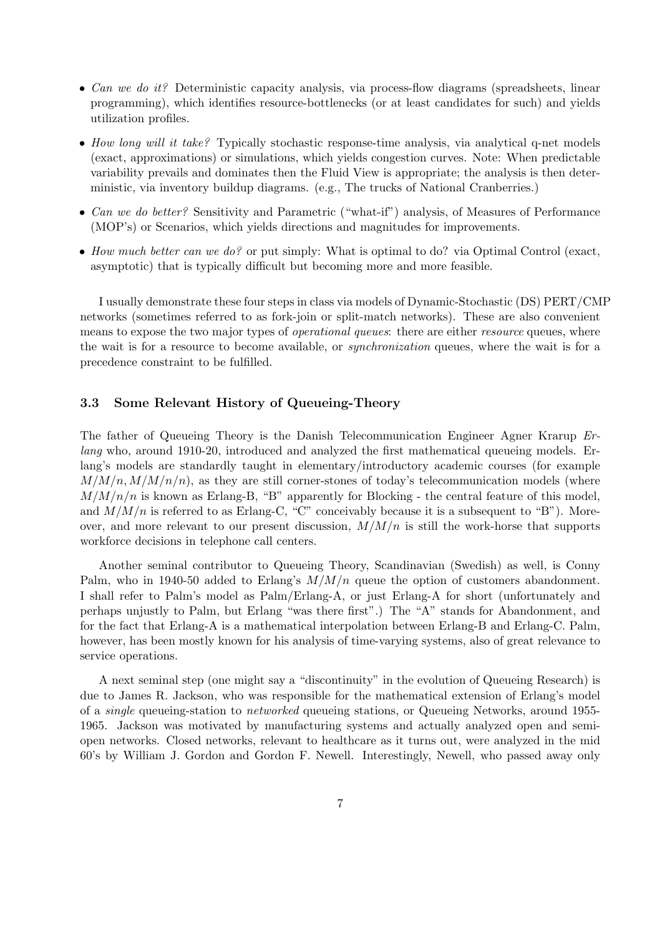- Can we do it? Deterministic capacity analysis, via process-flow diagrams (spreadsheets, linear programming), which identifies resource-bottlenecks (or at least candidates for such) and yields utilization profiles.
- How long will it take? Typically stochastic response-time analysis, via analytical q-net models (exact, approximations) or simulations, which yields congestion curves. Note: When predictable variability prevails and dominates then the Fluid View is appropriate; the analysis is then deterministic, via inventory buildup diagrams. (e.g., The trucks of National Cranberries.)
- Can we do better? Sensitivity and Parametric ("what-if") analysis, of Measures of Performance (MOP's) or Scenarios, which yields directions and magnitudes for improvements.
- How much better can we do? or put simply: What is optimal to do? via Optimal Control (exact, asymptotic) that is typically difficult but becoming more and more feasible.

I usually demonstrate these four steps in class via models of Dynamic-Stochastic (DS) PERT/CMP networks (sometimes referred to as fork-join or split-match networks). These are also convenient means to expose the two major types of *operational queues*: there are either *resource* queues, where the wait is for a resource to become available, or synchronization queues, where the wait is for a precedence constraint to be fulfilled.

### 3.3 Some Relevant History of Queueing-Theory

The father of Queueing Theory is the Danish Telecommunication Engineer Agner Krarup Erlang who, around 1910-20, introduced and analyzed the first mathematical queueing models. Erlang's models are standardly taught in elementary/introductory academic courses (for example  $M/M/n, M/M/n/n$ , as they are still corner-stones of today's telecommunication models (where  $M/M/n/n$  is known as Erlang-B, "B" apparently for Blocking - the central feature of this model, and  $M/M/n$  is referred to as Erlang-C, "C" conceivably because it is a subsequent to "B"). Moreover, and more relevant to our present discussion,  $M/M/n$  is still the work-horse that supports workforce decisions in telephone call centers.

Another seminal contributor to Queueing Theory, Scandinavian (Swedish) as well, is Conny Palm, who in 1940-50 added to Erlang's  $M/M/n$  queue the option of customers abandonment. I shall refer to Palm's model as Palm/Erlang-A, or just Erlang-A for short (unfortunately and perhaps unjustly to Palm, but Erlang "was there first".) The "A" stands for Abandonment, and for the fact that Erlang-A is a mathematical interpolation between Erlang-B and Erlang-C. Palm, however, has been mostly known for his analysis of time-varying systems, also of great relevance to service operations.

A next seminal step (one might say a "discontinuity" in the evolution of Queueing Research) is due to James R. Jackson, who was responsible for the mathematical extension of Erlang's model of a single queueing-station to networked queueing stations, or Queueing Networks, around 1955- 1965. Jackson was motivated by manufacturing systems and actually analyzed open and semiopen networks. Closed networks, relevant to healthcare as it turns out, were analyzed in the mid 60's by William J. Gordon and Gordon F. Newell. Interestingly, Newell, who passed away only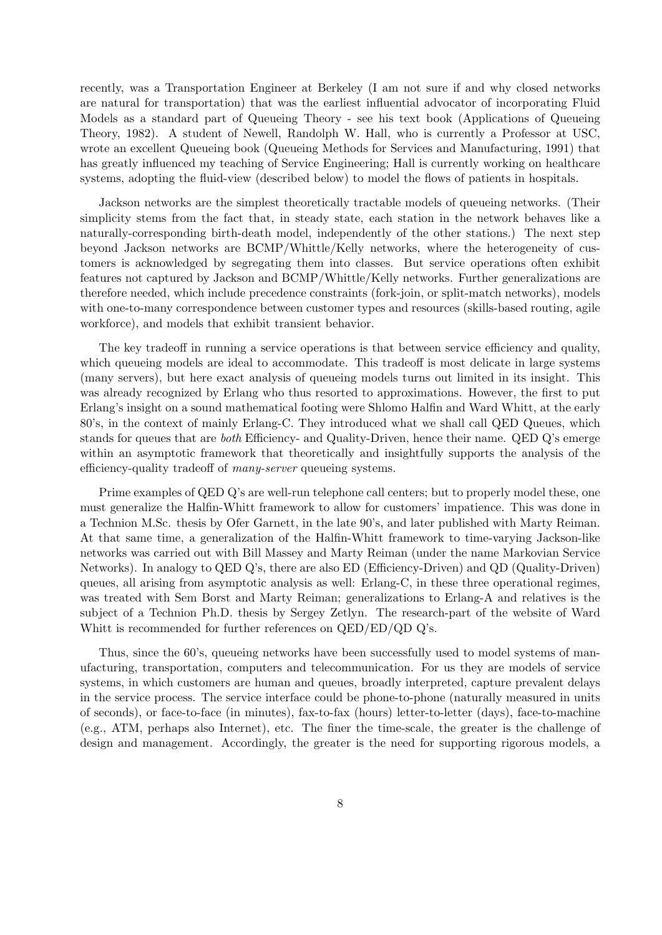recently, was a Transportation Engineer at Berkeley (I am not sure if and why closed networks are natural for transportation) that was the earliest influential advocator of incorporating Fluid Models as a standard part of Queueing Theory - see his text book (Applications of Queueing Theory, 1982). A student of Newell, Randolph W. Hall, who is currently a Professor at USC, wrote an excellent Queueing book (Queueing Methods for Services and Manufacturing, 1991) that has greatly influenced my teaching of Service Engineering; Hall is currently working on healthcare systems, adopting the fluid-view (described below) to model the flows of patients in hospitals.

Jackson networks are the simplest theoretically tractable models of queueing networks. (Their simplicity stems from the fact that, in steady state, each station in the network behaves like a naturally-corresponding birth-death model, independently of the other stations.) The next step beyond Jackson networks are BCMP/Whittle/Kelly networks, where the heterogeneity of customers is acknowledged by segregating them into classes. But service operations often exhibit features not captured by Jackson and BCMP/Whittle/Kelly networks. Further generalizations are therefore needed, which include precedence constraints (fork-join, or split-match networks), models with one-to-many correspondence between customer types and resources (skills-based routing, agile workforce), and models that exhibit transient behavior.

The key tradeoff in running a service operations is that between service efficiency and quality, which queueing models are ideal to accommodate. This tradeoff is most delicate in large systems (many servers), but here exact analysis of queueing models turns out limited in its insight. This was already recognized by Erlang who thus resorted to approximations. However, the first to put Erlang's insight on a sound mathematical footing were Shlomo Halfin and Ward Whitt, at the early 80's, in the context of mainly Erlang-C. They introduced what we shall call QED Queues, which stands for queues that are both Efficiency- and Quality-Driven, hence their name. QED Q's emerge within an asymptotic framework that theoretically and insightfully supports the analysis of the efficiency-quality tradeoff of many-server queueing systems.

Prime examples of QED Q's are well-run telephone call centers; but to properly model these, one must generalize the Halfin-Whitt framework to allow for customers' impatience. This was done in a Technion M.Sc. thesis by Ofer Garnett, in the late 90's, and later published with Marty Reiman. At that same time, a generalization of the Halfin-Whitt framework to time-varying Jackson-like networks was carried out with Bill Massey and Marty Reiman (under the name Markovian Service Networks). In analogy to QED Q's, there are also ED (Efficiency-Driven) and QD (Quality-Driven) queues, all arising from asymptotic analysis as well: Erlang-C, in these three operational regimes, was treated with Sem Borst and Marty Reiman; generalizations to Erlang-A and relatives is the subject of a Technion Ph.D. thesis by Sergey Zetlyn. The research-part of the website of Ward Whitt is recommended for further references on QED/ED/QD Q's.

Thus, since the 60's, queueing networks have been successfully used to model systems of manufacturing, transportation, computers and telecommunication. For us they are models of service systems, in which customers are human and queues, broadly interpreted, capture prevalent delays in the service process. The service interface could be phone-to-phone (naturally measured in units of seconds), or face-to-face (in minutes), fax-to-fax (hours) letter-to-letter (days), face-to-machine (e.g., ATM, perhaps also Internet), etc. The finer the time-scale, the greater is the challenge of design and management. Accordingly, the greater is the need for supporting rigorous models, a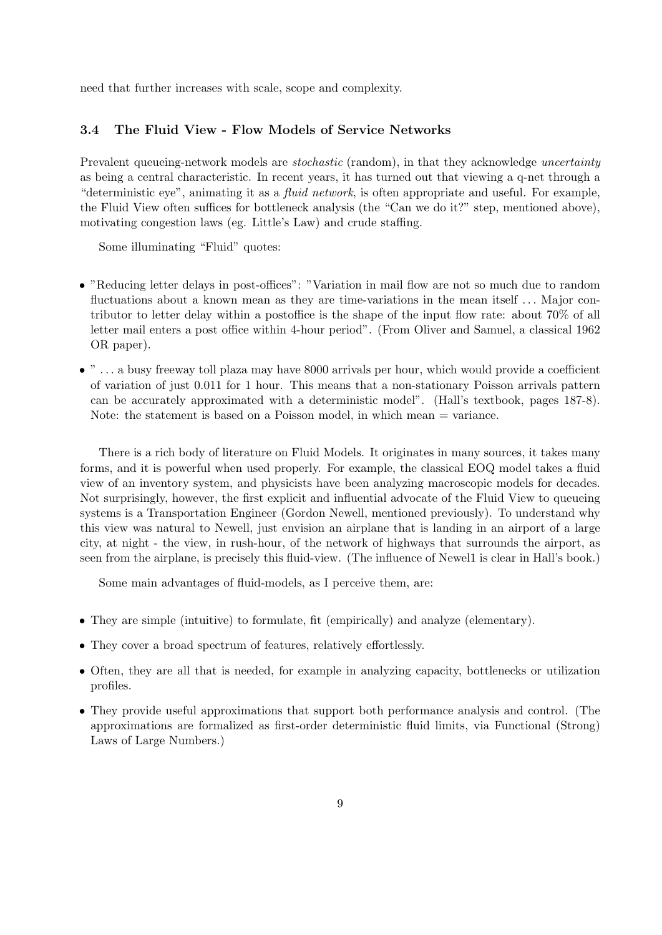need that further increases with scale, scope and complexity.

## 3.4 The Fluid View - Flow Models of Service Networks

Prevalent queueing-network models are *stochastic* (random), in that they acknowledge *uncertainty* as being a central characteristic. In recent years, it has turned out that viewing a q-net through a "deterministic eye", animating it as a fluid network, is often appropriate and useful. For example, the Fluid View often suffices for bottleneck analysis (the "Can we do it?" step, mentioned above), motivating congestion laws (eg. Little's Law) and crude staffing.

Some illuminating "Fluid" quotes:

- "Reducing letter delays in post-offices": "Variation in mail flow are not so much due to random fluctuations about a known mean as they are time-variations in the mean itself ... Major contributor to letter delay within a postoffice is the shape of the input flow rate: about 70% of all letter mail enters a post office within 4-hour period". (From Oliver and Samuel, a classical 1962 OR paper).
- $\bullet$  " ... a busy freeway toll plaza may have 8000 arrivals per hour, which would provide a coefficient of variation of just 0.011 for 1 hour. This means that a non-stationary Poisson arrivals pattern can be accurately approximated with a deterministic model". (Hall's textbook, pages 187-8). Note: the statement is based on a Poisson model, in which mean = variance.

There is a rich body of literature on Fluid Models. It originates in many sources, it takes many forms, and it is powerful when used properly. For example, the classical EOQ model takes a fluid view of an inventory system, and physicists have been analyzing macroscopic models for decades. Not surprisingly, however, the first explicit and influential advocate of the Fluid View to queueing systems is a Transportation Engineer (Gordon Newell, mentioned previously). To understand why this view was natural to Newell, just envision an airplane that is landing in an airport of a large city, at night - the view, in rush-hour, of the network of highways that surrounds the airport, as seen from the airplane, is precisely this fluid-view. (The influence of Newel1 is clear in Hall's book.)

Some main advantages of fluid-models, as I perceive them, are:

- They are simple (intuitive) to formulate, fit (empirically) and analyze (elementary).
- They cover a broad spectrum of features, relatively effortlessly.
- Often, they are all that is needed, for example in analyzing capacity, bottlenecks or utilization profiles.
- They provide useful approximations that support both performance analysis and control. (The approximations are formalized as first-order deterministic fluid limits, via Functional (Strong) Laws of Large Numbers.)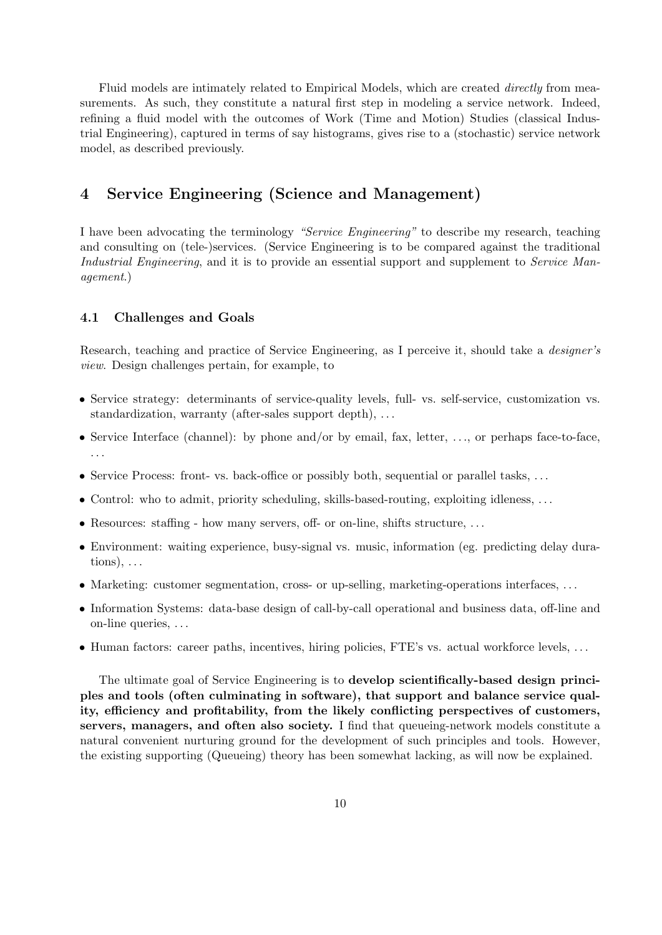Fluid models are intimately related to Empirical Models, which are created *directly* from measurements. As such, they constitute a natural first step in modeling a service network. Indeed, refining a fluid model with the outcomes of Work (Time and Motion) Studies (classical Industrial Engineering), captured in terms of say histograms, gives rise to a (stochastic) service network model, as described previously.

## 4 Service Engineering (Science and Management)

I have been advocating the terminology "Service Engineering" to describe my research, teaching and consulting on (tele-)services. (Service Engineering is to be compared against the traditional Industrial Engineering, and it is to provide an essential support and supplement to Service Management.)

## 4.1 Challenges and Goals

Research, teaching and practice of Service Engineering, as I perceive it, should take a designer's view. Design challenges pertain, for example, to

- Service strategy: determinants of service-quality levels, full- vs. self-service, customization vs. standardization, warranty (after-sales support depth), . . .
- Service Interface (channel): by phone and/or by email, fax, letter, ..., or perhaps face-to-face, . . .
- Service Process: front- vs. back-office or possibly both, sequential or parallel tasks, ...
- Control: who to admit, priority scheduling, skills-based-routing, exploiting idleness, ...
- Resources: staffing how many servers, off- or on-line, shifts structure, ...
- Environment: waiting experience, busy-signal vs. music, information (eg. predicting delay durations),  $\ldots$
- Marketing: customer segmentation, cross- or up-selling, marketing-operations interfaces, ...
- Information Systems: data-base design of call-by-call operational and business data, off-line and on-line queries, . . .
- Human factors: career paths, incentives, hiring policies, FTE's vs. actual workforce levels, ...

The ultimate goal of Service Engineering is to develop scientifically-based design principles and tools (often culminating in software), that support and balance service quality, efficiency and profitability, from the likely conflicting perspectives of customers, servers, managers, and often also society. I find that queueing-network models constitute a natural convenient nurturing ground for the development of such principles and tools. However, the existing supporting (Queueing) theory has been somewhat lacking, as will now be explained.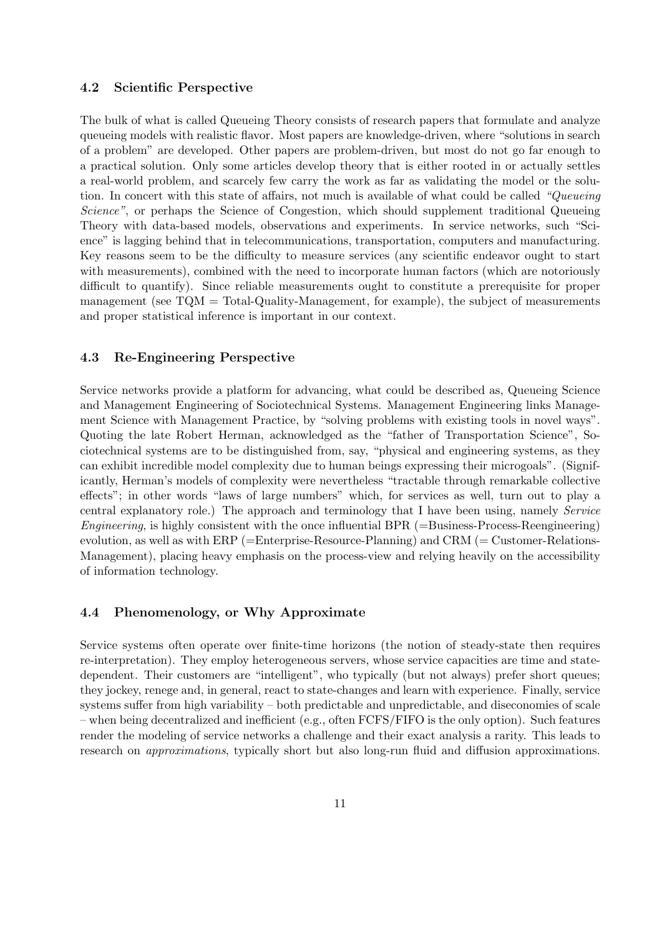#### 4.2 Scientific Perspective

The bulk of what is called Queueing Theory consists of research papers that formulate and analyze queueing models with realistic flavor. Most papers are knowledge-driven, where "solutions in search of a problem" are developed. Other papers are problem-driven, but most do not go far enough to a practical solution. Only some articles develop theory that is either rooted in or actually settles a real-world problem, and scarcely few carry the work as far as validating the model or the solution. In concert with this state of affairs, not much is available of what could be called "Queueing Science", or perhaps the Science of Congestion, which should supplement traditional Queueing Theory with data-based models, observations and experiments. In service networks, such "Science" is lagging behind that in telecommunications, transportation, computers and manufacturing. Key reasons seem to be the difficulty to measure services (any scientific endeavor ought to start with measurements), combined with the need to incorporate human factors (which are notoriously difficult to quantify). Since reliable measurements ought to constitute a prerequisite for proper management (see TQM = Total-Quality-Management, for example), the subject of measurements and proper statistical inference is important in our context.

### 4.3 Re-Engineering Perspective

Service networks provide a platform for advancing, what could be described as, Queueing Science and Management Engineering of Sociotechnical Systems. Management Engineering links Management Science with Management Practice, by "solving problems with existing tools in novel ways". Quoting the late Robert Herman, acknowledged as the "father of Transportation Science", Sociotechnical systems are to be distinguished from, say, "physical and engineering systems, as they can exhibit incredible model complexity due to human beings expressing their microgoals". (Significantly, Herman's models of complexity were nevertheless "tractable through remarkable collective effects"; in other words "laws of large numbers" which, for services as well, turn out to play a central explanatory role.) The approach and terminology that I have been using, namely Service Engineering, is highly consistent with the once influential BPR  $(=\text{Business-Process-Reengineering})$ evolution, as well as with ERP (=Enterprise-Resource-Planning) and CRM (= Customer-Relations-Management), placing heavy emphasis on the process-view and relying heavily on the accessibility of information technology.

#### 4.4 Phenomenology, or Why Approximate

Service systems often operate over finite-time horizons (the notion of steady-state then requires re-interpretation). They employ heterogeneous servers, whose service capacities are time and statedependent. Their customers are "intelligent", who typically (but not always) prefer short queues; they jockey, renege and, in general, react to state-changes and learn with experience. Finally, service systems suffer from high variability – both predictable and unpredictable, and diseconomies of scale – when being decentralized and inefficient (e.g., often FCFS/FIFO is the only option). Such features render the modeling of service networks a challenge and their exact analysis a rarity. This leads to research on approximations, typically short but also long-run fluid and diffusion approximations.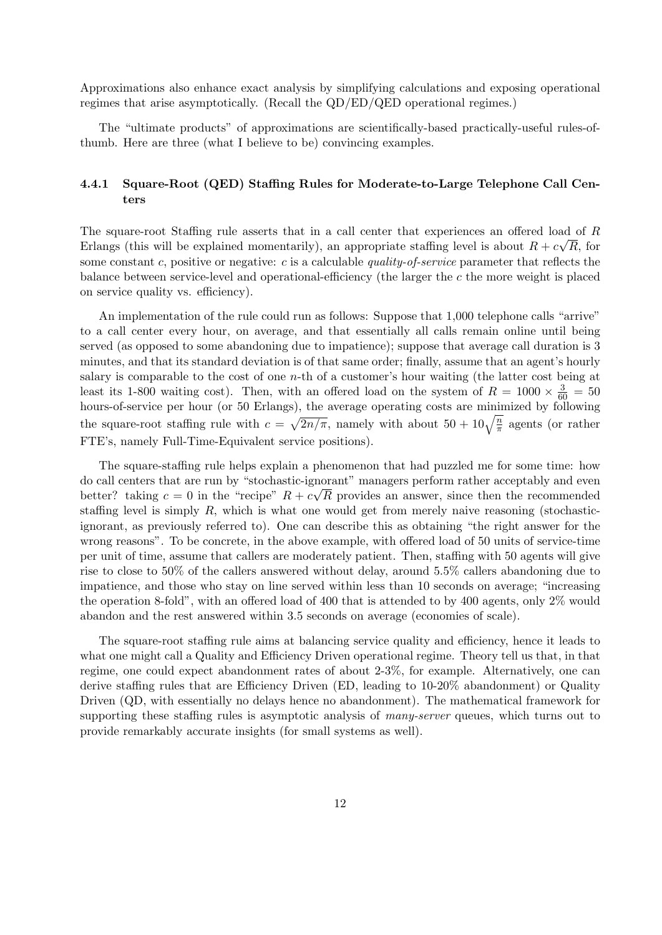Approximations also enhance exact analysis by simplifying calculations and exposing operational regimes that arise asymptotically. (Recall the QD/ED/QED operational regimes.)

The "ultimate products" of approximations are scientifically-based practically-useful rules-ofthumb. Here are three (what I believe to be) convincing examples.

## 4.4.1 Square-Root (QED) Staffing Rules for Moderate-to-Large Telephone Call Centers

The square-root Staffing rule asserts that in a call center that experiences an offered load of R Erlangs (this will be explained momentarily), an appropriate staffing level is about  $R + c\sqrt{R}$ , for some constant c, positive or negative: c is a calculable quality-of-service parameter that reflects the balance between service-level and operational-efficiency (the larger the c the more weight is placed on service quality vs. efficiency).

An implementation of the rule could run as follows: Suppose that 1,000 telephone calls "arrive" to a call center every hour, on average, and that essentially all calls remain online until being served (as opposed to some abandoning due to impatience); suppose that average call duration is 3 minutes, and that its standard deviation is of that same order; finally, assume that an agent's hourly salary is comparable to the cost of one  $n$ -th of a customer's hour waiting (the latter cost being at least its 1-800 waiting cost). Then, with an offered load on the system of  $R = 1000 \times \frac{3}{60} = 50$ hours-of-service per hour (or 50 Erlangs), the average operating costs are minimized by following the square-root staffing rule with  $c = \sqrt{2n/\pi}$ , namely with about  $50 + 10\sqrt{\frac{n}{\pi}}$  agents (or rather FTE's, namely Full-Time-Equivalent service positions).

The square-staffing rule helps explain a phenomenon that had puzzled me for some time: how do call centers that are run by "stochastic-ignorant" managers perform rather acceptably and even better? taking  $c = 0$  in the "recipe"  $R + c\sqrt{R}$  provides an answer, since then the recommended staffing level is simply  $R$ , which is what one would get from merely naive reasoning (stochasticignorant, as previously referred to). One can describe this as obtaining "the right answer for the wrong reasons". To be concrete, in the above example, with offered load of 50 units of service-time per unit of time, assume that callers are moderately patient. Then, staffing with 50 agents will give rise to close to 50% of the callers answered without delay, around 5.5% callers abandoning due to impatience, and those who stay on line served within less than 10 seconds on average; "increasing the operation 8-fold", with an offered load of 400 that is attended to by 400 agents, only 2% would abandon and the rest answered within 3.5 seconds on average (economies of scale).

The square-root staffing rule aims at balancing service quality and efficiency, hence it leads to what one might call a Quality and Efficiency Driven operational regime. Theory tell us that, in that regime, one could expect abandonment rates of about 2-3%, for example. Alternatively, one can derive staffing rules that are Efficiency Driven (ED, leading to 10-20% abandonment) or Quality Driven (QD, with essentially no delays hence no abandonment). The mathematical framework for supporting these staffing rules is asymptotic analysis of *many-server* queues, which turns out to provide remarkably accurate insights (for small systems as well).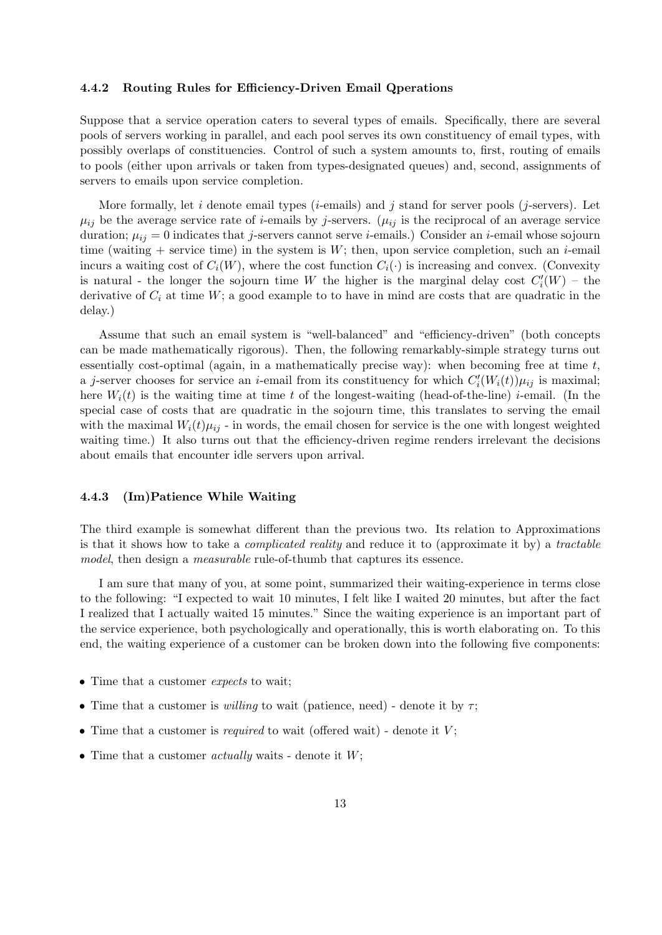#### 4.4.2 Routing Rules for Efficiency-Driven Email Qperations

Suppose that a service operation caters to several types of emails. Specifically, there are several pools of servers working in parallel, and each pool serves its own constituency of email types, with possibly overlaps of constituencies. Control of such a system amounts to, first, routing of emails to pools (either upon arrivals or taken from types-designated queues) and, second, assignments of servers to emails upon service completion.

More formally, let i denote email types (i-emails) and j stand for server pools (j-servers). Let  $\mu_{ij}$  be the average service rate of *i*-emails by *j*-servers. ( $\mu_{ij}$  is the reciprocal of an average service duration;  $\mu_{ij} = 0$  indicates that j-servers cannot serve *i*-emails.) Consider an *i*-email whose sojourn time (waiting + service time) in the system is  $W$ ; then, upon service completion, such an *i*-email incurs a waiting cost of  $C_i(W)$ , where the cost function  $C_i(\cdot)$  is increasing and convex. (Convexity is natural - the longer the sojourn time W the higher is the marginal delay cost  $C_i'(W)$  - the derivative of  $C_i$  at time W; a good example to to have in mind are costs that are quadratic in the delay.)

Assume that such an email system is "well-balanced" and "efficiency-driven" (both concepts can be made mathematically rigorous). Then, the following remarkably-simple strategy turns out essentially cost-optimal (again, in a mathematically precise way): when becoming free at time  $t$ , a j-server chooses for service an *i*-email from its constituency for which  $C'_{i}(W_i(t))\mu_{ij}$  is maximal; here  $W_i(t)$  is the waiting time at time t of the longest-waiting (head-of-the-line) i-email. (In the special case of costs that are quadratic in the sojourn time, this translates to serving the email with the maximal  $W_i(t)\mu_{ij}$  - in words, the email chosen for service is the one with longest weighted waiting time.) It also turns out that the efficiency-driven regime renders irrelevant the decisions about emails that encounter idle servers upon arrival.

### 4.4.3 (Im)Patience While Waiting

The third example is somewhat different than the previous two. Its relation to Approximations is that it shows how to take a complicated reality and reduce it to (approximate it by) a tractable model, then design a *measurable* rule-of-thumb that captures its essence.

I am sure that many of you, at some point, summarized their waiting-experience in terms close to the following: "I expected to wait 10 minutes, I felt like I waited 20 minutes, but after the fact I realized that I actually waited 15 minutes." Since the waiting experience is an important part of the service experience, both psychologically and operationally, this is worth elaborating on. To this end, the waiting experience of a customer can be broken down into the following five components:

- Time that a customer *expects* to wait;
- Time that a customer is *willing* to wait (patience, need) denote it by  $\tau$ ;
- Time that a customer is *required* to wait (offered wait) denote it  $V$ ;
- Time that a customer *actually* waits denote it  $W$ ;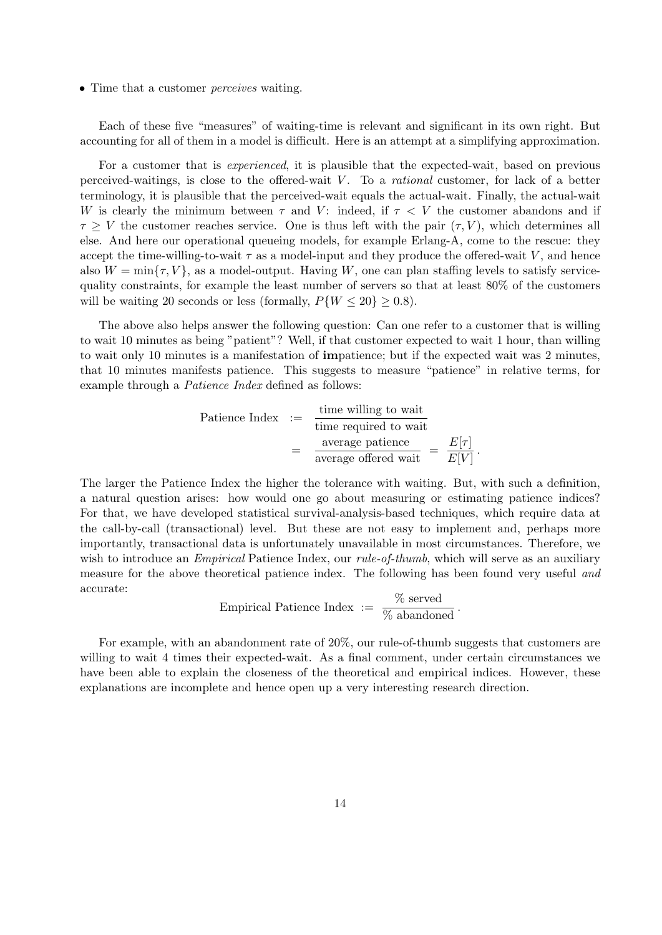• Time that a customer *perceives* waiting.

Each of these five "measures" of waiting-time is relevant and significant in its own right. But accounting for all of them in a model is difficult. Here is an attempt at a simplifying approximation.

For a customer that is experienced, it is plausible that the expected-wait, based on previous perceived-waitings, is close to the offered-wait  $V$ . To a *rational* customer, for lack of a better terminology, it is plausible that the perceived-wait equals the actual-wait. Finally, the actual-wait W is clearly the minimum between  $\tau$  and V: indeed, if  $\tau < V$  the customer abandons and if  $\tau \geq V$  the customer reaches service. One is thus left with the pair  $(\tau, V)$ , which determines all else. And here our operational queueing models, for example Erlang-A, come to the rescue: they accept the time-willing-to-wait  $\tau$  as a model-input and they produce the offered-wait V, and hence also  $W = \min\{\tau, V\}$ , as a model-output. Having W, one can plan staffing levels to satisfy servicequality constraints, for example the least number of servers so that at least 80% of the customers will be waiting 20 seconds or less (formally,  $P\{W \le 20\} \ge 0.8$ ).

The above also helps answer the following question: Can one refer to a customer that is willing to wait 10 minutes as being "patient"? Well, if that customer expected to wait 1 hour, than willing to wait only 10 minutes is a manifestation of impatience; but if the expected wait was 2 minutes, that 10 minutes manifests patience. This suggests to measure "patience" in relative terms, for example through a Patience Index defined as follows:

Patience Index := time willing to wait

\n
$$
= \frac{\text{time willing to wait}}{\text{average patience}}
$$
\n
$$
= \frac{E[\tau]}{E[V]}.
$$

The larger the Patience Index the higher the tolerance with waiting. But, with such a definition, a natural question arises: how would one go about measuring or estimating patience indices? For that, we have developed statistical survival-analysis-based techniques, which require data at the call-by-call (transactional) level. But these are not easy to implement and, perhaps more importantly, transactional data is unfortunately unavailable in most circumstances. Therefore, we wish to introduce an *Empirical* Patience Index, our *rule-of-thumb*, which will serve as an auxiliary measure for the above theoretical patience index. The following has been found very useful and accurate:

Empirical Patience Index := 
$$
\frac{\% \text{ served}}{\% \text{ abandoned}}
$$
.

For example, with an abandonment rate of 20%, our rule-of-thumb suggests that customers are willing to wait 4 times their expected-wait. As a final comment, under certain circumstances we have been able to explain the closeness of the theoretical and empirical indices. However, these explanations are incomplete and hence open up a very interesting research direction.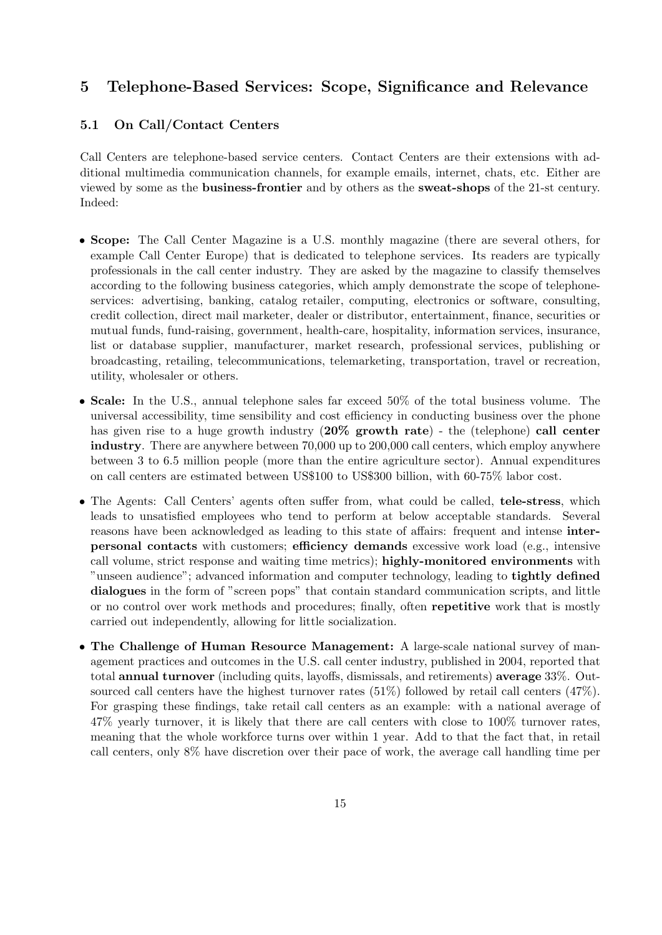## 5 Telephone-Based Services: Scope, Significance and Relevance

## 5.1 On Call/Contact Centers

Call Centers are telephone-based service centers. Contact Centers are their extensions with additional multimedia communication channels, for example emails, internet, chats, etc. Either are viewed by some as the business-frontier and by others as the sweat-shops of the 21-st century. Indeed:

- Scope: The Call Center Magazine is a U.S. monthly magazine (there are several others, for example Call Center Europe) that is dedicated to telephone services. Its readers are typically professionals in the call center industry. They are asked by the magazine to classify themselves according to the following business categories, which amply demonstrate the scope of telephoneservices: advertising, banking, catalog retailer, computing, electronics or software, consulting, credit collection, direct mail marketer, dealer or distributor, entertainment, finance, securities or mutual funds, fund-raising, government, health-care, hospitality, information services, insurance, list or database supplier, manufacturer, market research, professional services, publishing or broadcasting, retailing, telecommunications, telemarketing, transportation, travel or recreation, utility, wholesaler or others.
- Scale: In the U.S., annual telephone sales far exceed 50% of the total business volume. The universal accessibility, time sensibility and cost efficiency in conducting business over the phone has given rise to a huge growth industry (20% growth rate) - the (telephone) call center industry. There are anywhere between 70,000 up to 200,000 call centers, which employ anywhere between 3 to 6.5 million people (more than the entire agriculture sector). Annual expenditures on call centers are estimated between US\$100 to US\$300 billion, with 60-75% labor cost.
- The Agents: Call Centers' agents often suffer from, what could be called, **tele-stress**, which leads to unsatisfied employees who tend to perform at below acceptable standards. Several reasons have been acknowledged as leading to this state of affairs: frequent and intense interpersonal contacts with customers; efficiency demands excessive work load (e.g., intensive call volume, strict response and waiting time metrics); highly-monitored environments with "unseen audience"; advanced information and computer technology, leading to tightly defined dialogues in the form of "screen pops" that contain standard communication scripts, and little or no control over work methods and procedures; finally, often repetitive work that is mostly carried out independently, allowing for little socialization.
- The Challenge of Human Resource Management: A large-scale national survey of management practices and outcomes in the U.S. call center industry, published in 2004, reported that total annual turnover (including quits, layoffs, dismissals, and retirements) average 33%. Outsourced call centers have the highest turnover rates (51%) followed by retail call centers (47%). For grasping these findings, take retail call centers as an example: with a national average of 47% yearly turnover, it is likely that there are call centers with close to 100% turnover rates, meaning that the whole workforce turns over within 1 year. Add to that the fact that, in retail call centers, only 8% have discretion over their pace of work, the average call handling time per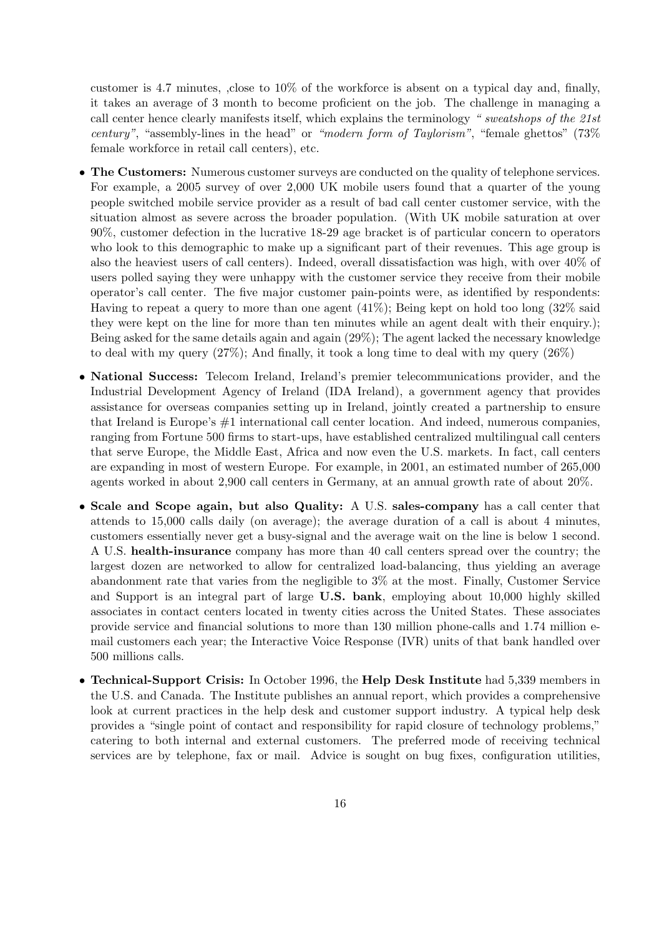customer is 4.7 minutes, ,close to 10% of the workforce is absent on a typical day and, finally, it takes an average of 3 month to become proficient on the job. The challenge in managing a call center hence clearly manifests itself, which explains the terminology " sweatshops of the 21st century", "assembly-lines in the head" or "modern form of Taylorism", "female ghettos"  $(73\%$ female workforce in retail call centers), etc.

- The Customers: Numerous customer surveys are conducted on the quality of telephone services. For example, a 2005 survey of over 2,000 UK mobile users found that a quarter of the young people switched mobile service provider as a result of bad call center customer service, with the situation almost as severe across the broader population. (With UK mobile saturation at over 90%, customer defection in the lucrative 18-29 age bracket is of particular concern to operators who look to this demographic to make up a significant part of their revenues. This age group is also the heaviest users of call centers). Indeed, overall dissatisfaction was high, with over 40% of users polled saying they were unhappy with the customer service they receive from their mobile operator's call center. The five major customer pain-points were, as identified by respondents: Having to repeat a query to more than one agent  $(41\%)$ ; Being kept on hold too long  $(32\% \text{ said})$ they were kept on the line for more than ten minutes while an agent dealt with their enquiry.); Being asked for the same details again and again (29%); The agent lacked the necessary knowledge to deal with my query (27%); And finally, it took a long time to deal with my query (26%)
- National Success: Telecom Ireland, Ireland's premier telecommunications provider, and the Industrial Development Agency of Ireland (IDA Ireland), a government agency that provides assistance for overseas companies setting up in Ireland, jointly created a partnership to ensure that Ireland is Europe's #1 international call center location. And indeed, numerous companies, ranging from Fortune 500 firms to start-ups, have established centralized multilingual call centers that serve Europe, the Middle East, Africa and now even the U.S. markets. In fact, call centers are expanding in most of western Europe. For example, in 2001, an estimated number of 265,000 agents worked in about 2,900 call centers in Germany, at an annual growth rate of about 20%.
- Scale and Scope again, but also Quality: A U.S. sales-company has a call center that attends to 15,000 calls daily (on average); the average duration of a call is about 4 minutes, customers essentially never get a busy-signal and the average wait on the line is below 1 second. A U.S. health-insurance company has more than 40 call centers spread over the country; the largest dozen are networked to allow for centralized load-balancing, thus yielding an average abandonment rate that varies from the negligible to 3% at the most. Finally, Customer Service and Support is an integral part of large U.S. bank, employing about 10,000 highly skilled associates in contact centers located in twenty cities across the United States. These associates provide service and financial solutions to more than 130 million phone-calls and 1.74 million email customers each year; the Interactive Voice Response (IVR) units of that bank handled over 500 millions calls.
- Technical-Support Crisis: In October 1996, the Help Desk Institute had 5,339 members in the U.S. and Canada. The Institute publishes an annual report, which provides a comprehensive look at current practices in the help desk and customer support industry. A typical help desk provides a "single point of contact and responsibility for rapid closure of technology problems," catering to both internal and external customers. The preferred mode of receiving technical services are by telephone, fax or mail. Advice is sought on bug fixes, configuration utilities,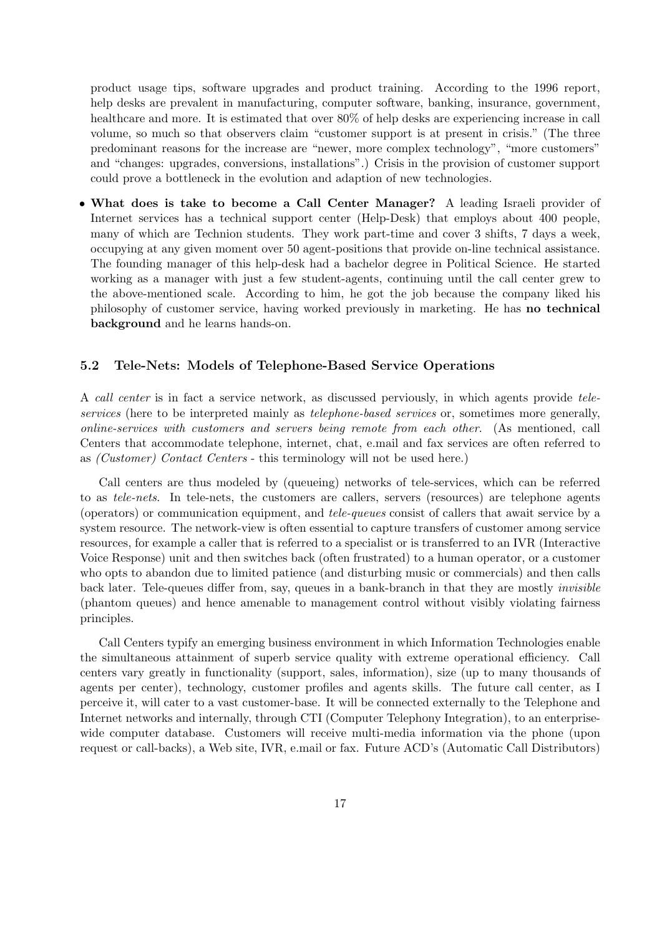product usage tips, software upgrades and product training. According to the 1996 report, help desks are prevalent in manufacturing, computer software, banking, insurance, government, healthcare and more. It is estimated that over  $80\%$  of help desks are experiencing increase in call volume, so much so that observers claim "customer support is at present in crisis." (The three predominant reasons for the increase are "newer, more complex technology", "more customers" and "changes: upgrades, conversions, installations".) Crisis in the provision of customer support could prove a bottleneck in the evolution and adaption of new technologies.

• What does is take to become a Call Center Manager? A leading Israeli provider of Internet services has a technical support center (Help-Desk) that employs about 400 people, many of which are Technion students. They work part-time and cover 3 shifts, 7 days a week, occupying at any given moment over 50 agent-positions that provide on-line technical assistance. The founding manager of this help-desk had a bachelor degree in Political Science. He started working as a manager with just a few student-agents, continuing until the call center grew to the above-mentioned scale. According to him, he got the job because the company liked his philosophy of customer service, having worked previously in marketing. He has no technical background and he learns hands-on.

#### 5.2 Tele-Nets: Models of Telephone-Based Service Operations

A call center is in fact a service network, as discussed perviously, in which agents provide teleservices (here to be interpreted mainly as *telephone-based services* or, sometimes more generally, online-services with customers and servers being remote from each other. (As mentioned, call Centers that accommodate telephone, internet, chat, e.mail and fax services are often referred to as (Customer) Contact Centers - this terminology will not be used here.)

Call centers are thus modeled by (queueing) networks of tele-services, which can be referred to as tele-nets. In tele-nets, the customers are callers, servers (resources) are telephone agents (operators) or communication equipment, and tele-queues consist of callers that await service by a system resource. The network-view is often essential to capture transfers of customer among service resources, for example a caller that is referred to a specialist or is transferred to an IVR (Interactive Voice Response) unit and then switches back (often frustrated) to a human operator, or a customer who opts to abandon due to limited patience (and disturbing music or commercials) and then calls back later. Tele-queues differ from, say, queues in a bank-branch in that they are mostly *invisible* (phantom queues) and hence amenable to management control without visibly violating fairness principles.

Call Centers typify an emerging business environment in which Information Technologies enable the simultaneous attainment of superb service quality with extreme operational efficiency. Call centers vary greatly in functionality (support, sales, information), size (up to many thousands of agents per center), technology, customer profiles and agents skills. The future call center, as I perceive it, will cater to a vast customer-base. It will be connected externally to the Telephone and Internet networks and internally, through CTI (Computer Telephony Integration), to an enterprisewide computer database. Customers will receive multi-media information via the phone (upon request or call-backs), a Web site, IVR, e.mail or fax. Future ACD's (Automatic Call Distributors)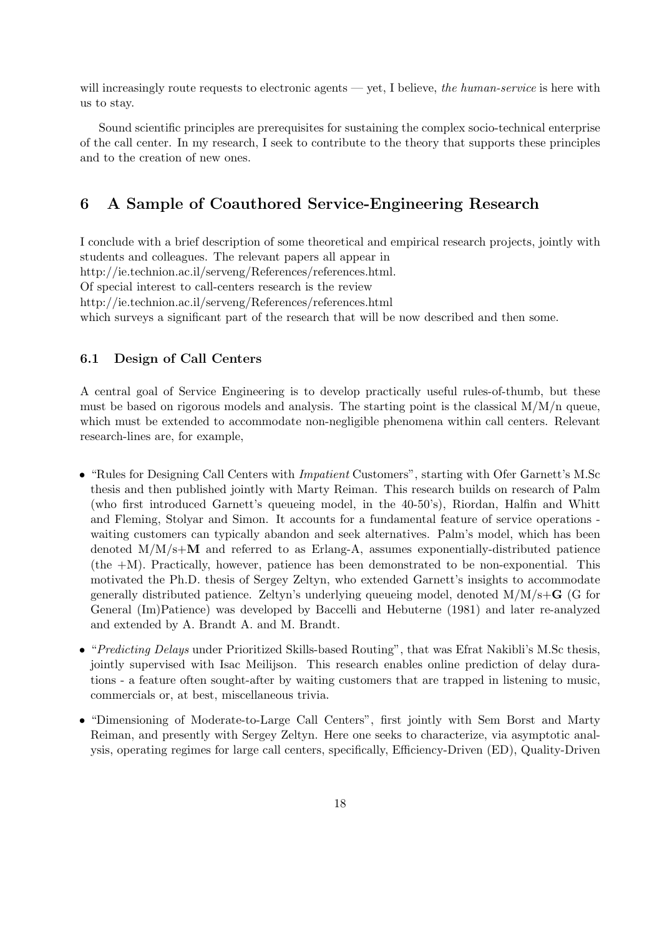will increasingly route requests to electronic agents — yet, I believe, the human-service is here with us to stay.

Sound scientific principles are prerequisites for sustaining the complex socio-technical enterprise of the call center. In my research, I seek to contribute to the theory that supports these principles and to the creation of new ones.

## 6 A Sample of Coauthored Service-Engineering Research

I conclude with a brief description of some theoretical and empirical research projects, jointly with students and colleagues. The relevant papers all appear in http://ie.technion.ac.il/serveng/References/references.html. Of special interest to call-centers research is the review http://ie.technion.ac.il/serveng/References/references.html which surveys a significant part of the research that will be now described and then some.

## 6.1 Design of Call Centers

A central goal of Service Engineering is to develop practically useful rules-of-thumb, but these must be based on rigorous models and analysis. The starting point is the classical  $M/M/n$  queue, which must be extended to accommodate non-negligible phenomena within call centers. Relevant research-lines are, for example,

- "Rules for Designing Call Centers with *Impatient* Customers", starting with Ofer Garnett's M.Sc thesis and then published jointly with Marty Reiman. This research builds on research of Palm (who first introduced Garnett's queueing model, in the 40-50's), Riordan, Halfin and Whitt and Fleming, Stolyar and Simon. It accounts for a fundamental feature of service operations waiting customers can typically abandon and seek alternatives. Palm's model, which has been denoted  $M/M/s+M$  and referred to as Erlang-A, assumes exponentially-distributed patience (the +M). Practically, however, patience has been demonstrated to be non-exponential. This motivated the Ph.D. thesis of Sergey Zeltyn, who extended Garnett's insights to accommodate generally distributed patience. Zeltyn's underlying queueing model, denoted  $M/M/s+\mathbf{G}$  (G for General (Im)Patience) was developed by Baccelli and Hebuterne (1981) and later re-analyzed and extended by A. Brandt A. and M. Brandt.
- "Predicting Delays under Prioritized Skills-based Routing", that was Efrat Nakibli's M.Sc thesis, jointly supervised with Isac Meilijson. This research enables online prediction of delay durations - a feature often sought-after by waiting customers that are trapped in listening to music, commercials or, at best, miscellaneous trivia.
- "Dimensioning of Moderate-to-Large Call Centers", first jointly with Sem Borst and Marty Reiman, and presently with Sergey Zeltyn. Here one seeks to characterize, via asymptotic analysis, operating regimes for large call centers, specifically, Efficiency-Driven (ED), Quality-Driven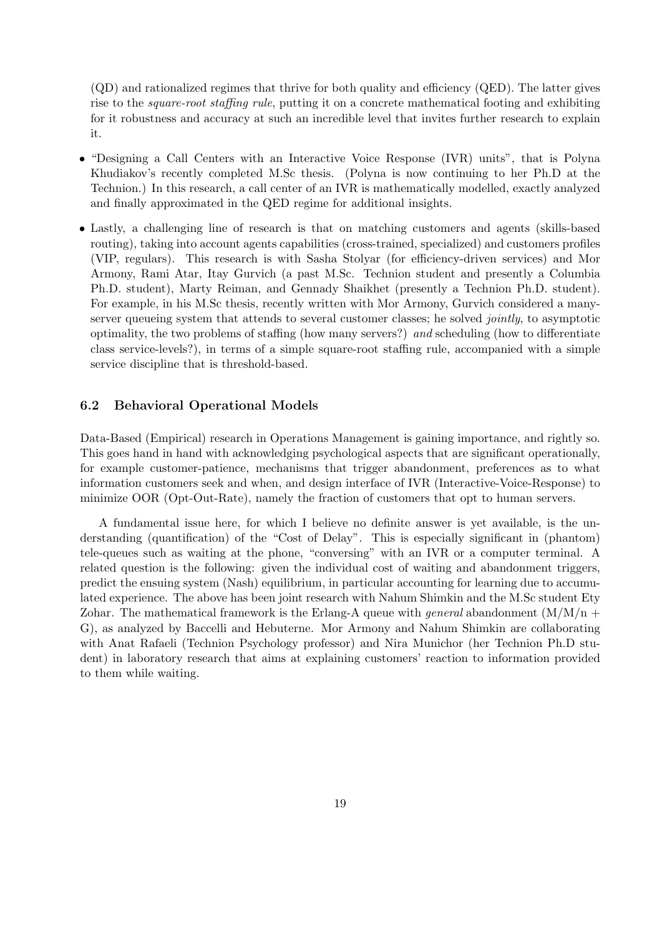(QD) and rationalized regimes that thrive for both quality and efficiency (QED). The latter gives rise to the *square-root staffing rule*, putting it on a concrete mathematical footing and exhibiting for it robustness and accuracy at such an incredible level that invites further research to explain it.

- "Designing a Call Centers with an Interactive Voice Response (IVR) units", that is Polyna Khudiakov's recently completed M.Sc thesis. (Polyna is now continuing to her Ph.D at the Technion.) In this research, a call center of an IVR is mathematically modelled, exactly analyzed and finally approximated in the QED regime for additional insights.
- Lastly, a challenging line of research is that on matching customers and agents (skills-based routing), taking into account agents capabilities (cross-trained, specialized) and customers profiles (VIP, regulars). This research is with Sasha Stolyar (for efficiency-driven services) and Mor Armony, Rami Atar, Itay Gurvich (a past M.Sc. Technion student and presently a Columbia Ph.D. student), Marty Reiman, and Gennady Shaikhet (presently a Technion Ph.D. student). For example, in his M.Sc thesis, recently written with Mor Armony, Gurvich considered a manyserver queueing system that attends to several customer classes; he solved *jointly*, to asymptotic optimality, the two problems of staffing (how many servers?) and scheduling (how to differentiate class service-levels?), in terms of a simple square-root staffing rule, accompanied with a simple service discipline that is threshold-based.

### 6.2 Behavioral Operational Models

Data-Based (Empirical) research in Operations Management is gaining importance, and rightly so. This goes hand in hand with acknowledging psychological aspects that are significant operationally, for example customer-patience, mechanisms that trigger abandonment, preferences as to what information customers seek and when, and design interface of IVR (Interactive-Voice-Response) to minimize OOR (Opt-Out-Rate), namely the fraction of customers that opt to human servers.

A fundamental issue here, for which I believe no definite answer is yet available, is the understanding (quantification) of the "Cost of Delay". This is especially significant in (phantom) tele-queues such as waiting at the phone, "conversing" with an IVR or a computer terminal. A related question is the following: given the individual cost of waiting and abandonment triggers, predict the ensuing system (Nash) equilibrium, in particular accounting for learning due to accumulated experience. The above has been joint research with Nahum Shimkin and the M.Sc student Ety Zohar. The mathematical framework is the Erlang-A queue with *general* abandonment  $(M/M/n +$ G), as analyzed by Baccelli and Hebuterne. Mor Armony and Nahum Shimkin are collaborating with Anat Rafaeli (Technion Psychology professor) and Nira Munichor (her Technion Ph.D student) in laboratory research that aims at explaining customers' reaction to information provided to them while waiting.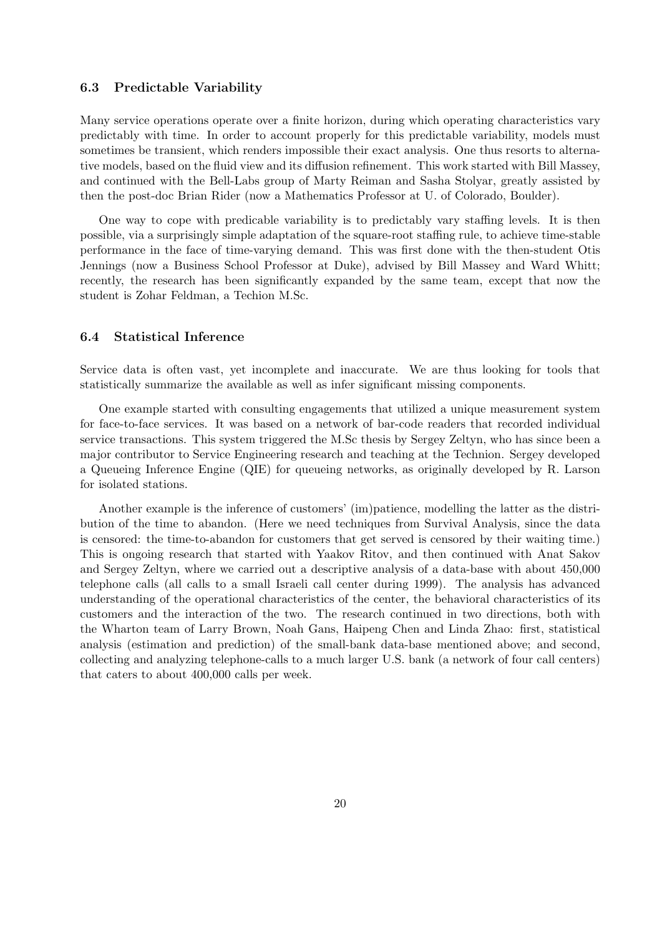#### 6.3 Predictable Variability

Many service operations operate over a finite horizon, during which operating characteristics vary predictably with time. In order to account properly for this predictable variability, models must sometimes be transient, which renders impossible their exact analysis. One thus resorts to alternative models, based on the fluid view and its diffusion refinement. This work started with Bill Massey, and continued with the Bell-Labs group of Marty Reiman and Sasha Stolyar, greatly assisted by then the post-doc Brian Rider (now a Mathematics Professor at U. of Colorado, Boulder).

One way to cope with predicable variability is to predictably vary staffing levels. It is then possible, via a surprisingly simple adaptation of the square-root staffing rule, to achieve time-stable performance in the face of time-varying demand. This was first done with the then-student Otis Jennings (now a Business School Professor at Duke), advised by Bill Massey and Ward Whitt; recently, the research has been significantly expanded by the same team, except that now the student is Zohar Feldman, a Techion M.Sc.

### 6.4 Statistical Inference

Service data is often vast, yet incomplete and inaccurate. We are thus looking for tools that statistically summarize the available as well as infer significant missing components.

One example started with consulting engagements that utilized a unique measurement system for face-to-face services. It was based on a network of bar-code readers that recorded individual service transactions. This system triggered the M.Sc thesis by Sergey Zeltyn, who has since been a major contributor to Service Engineering research and teaching at the Technion. Sergey developed a Queueing Inference Engine (QIE) for queueing networks, as originally developed by R. Larson for isolated stations.

Another example is the inference of customers' (im)patience, modelling the latter as the distribution of the time to abandon. (Here we need techniques from Survival Analysis, since the data is censored: the time-to-abandon for customers that get served is censored by their waiting time.) This is ongoing research that started with Yaakov Ritov, and then continued with Anat Sakov and Sergey Zeltyn, where we carried out a descriptive analysis of a data-base with about 450,000 telephone calls (all calls to a small Israeli call center during 1999). The analysis has advanced understanding of the operational characteristics of the center, the behavioral characteristics of its customers and the interaction of the two. The research continued in two directions, both with the Wharton team of Larry Brown, Noah Gans, Haipeng Chen and Linda Zhao: first, statistical analysis (estimation and prediction) of the small-bank data-base mentioned above; and second, collecting and analyzing telephone-calls to a much larger U.S. bank (a network of four call centers) that caters to about 400,000 calls per week.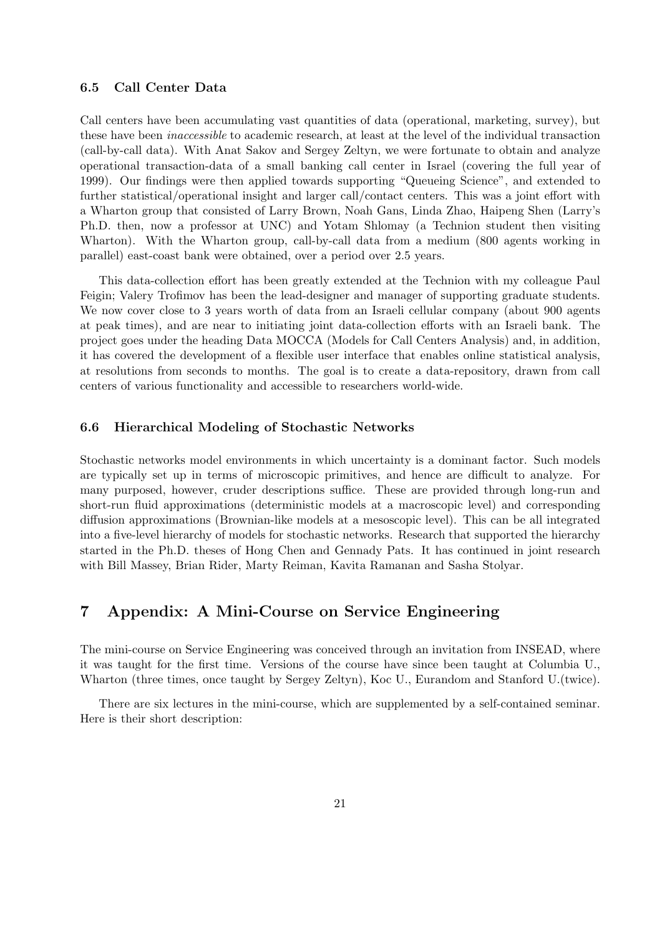### 6.5 Call Center Data

Call centers have been accumulating vast quantities of data (operational, marketing, survey), but these have been inaccessible to academic research, at least at the level of the individual transaction (call-by-call data). With Anat Sakov and Sergey Zeltyn, we were fortunate to obtain and analyze operational transaction-data of a small banking call center in Israel (covering the full year of 1999). Our findings were then applied towards supporting "Queueing Science", and extended to further statistical/operational insight and larger call/contact centers. This was a joint effort with a Wharton group that consisted of Larry Brown, Noah Gans, Linda Zhao, Haipeng Shen (Larry's Ph.D. then, now a professor at UNC) and Yotam Shlomay (a Technion student then visiting Wharton). With the Wharton group, call-by-call data from a medium (800 agents working in parallel) east-coast bank were obtained, over a period over 2.5 years.

This data-collection effort has been greatly extended at the Technion with my colleague Paul Feigin; Valery Trofimov has been the lead-designer and manager of supporting graduate students. We now cover close to 3 years worth of data from an Israeli cellular company (about 900 agents at peak times), and are near to initiating joint data-collection efforts with an Israeli bank. The project goes under the heading Data MOCCA (Models for Call Centers Analysis) and, in addition, it has covered the development of a flexible user interface that enables online statistical analysis, at resolutions from seconds to months. The goal is to create a data-repository, drawn from call centers of various functionality and accessible to researchers world-wide.

#### 6.6 Hierarchical Modeling of Stochastic Networks

Stochastic networks model environments in which uncertainty is a dominant factor. Such models are typically set up in terms of microscopic primitives, and hence are difficult to analyze. For many purposed, however, cruder descriptions suffice. These are provided through long-run and short-run fluid approximations (deterministic models at a macroscopic level) and corresponding diffusion approximations (Brownian-like models at a mesoscopic level). This can be all integrated into a five-level hierarchy of models for stochastic networks. Research that supported the hierarchy started in the Ph.D. theses of Hong Chen and Gennady Pats. It has continued in joint research with Bill Massey, Brian Rider, Marty Reiman, Kavita Ramanan and Sasha Stolyar.

## 7 Appendix: A Mini-Course on Service Engineering

The mini-course on Service Engineering was conceived through an invitation from INSEAD, where it was taught for the first time. Versions of the course have since been taught at Columbia U., Wharton (three times, once taught by Sergey Zeltyn), Koc U., Eurandom and Stanford U.(twice).

There are six lectures in the mini-course, which are supplemented by a self-contained seminar. Here is their short description: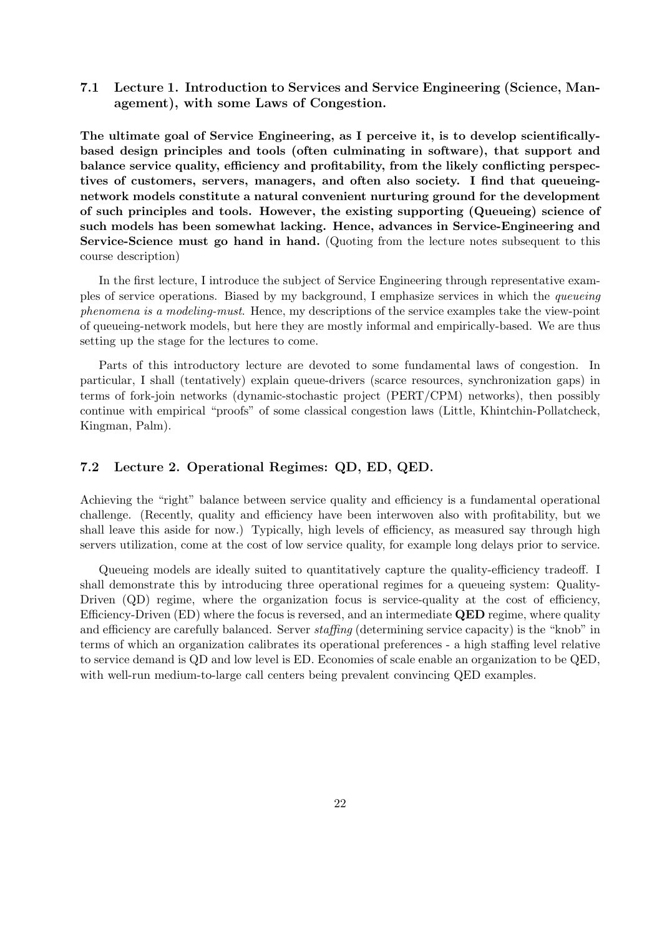7.1 Lecture 1. Introduction to Services and Service Engineering (Science, Management), with some Laws of Congestion.

The ultimate goal of Service Engineering, as I perceive it, is to develop scientificallybased design principles and tools (often culminating in software), that support and balance service quality, efficiency and profitability, from the likely conflicting perspectives of customers, servers, managers, and often also society. I find that queueingnetwork models constitute a natural convenient nurturing ground for the development of such principles and tools. However, the existing supporting (Queueing) science of such models has been somewhat lacking. Hence, advances in Service-Engineering and Service-Science must go hand in hand. (Quoting from the lecture notes subsequent to this course description)

In the first lecture, I introduce the subject of Service Engineering through representative examples of service operations. Biased by my background, I emphasize services in which the queueing phenomena is a modeling-must. Hence, my descriptions of the service examples take the view-point of queueing-network models, but here they are mostly informal and empirically-based. We are thus setting up the stage for the lectures to come.

Parts of this introductory lecture are devoted to some fundamental laws of congestion. In particular, I shall (tentatively) explain queue-drivers (scarce resources, synchronization gaps) in terms of fork-join networks (dynamic-stochastic project (PERT/CPM) networks), then possibly continue with empirical "proofs" of some classical congestion laws (Little, Khintchin-Pollatcheck, Kingman, Palm).

### 7.2 Lecture 2. Operational Regimes: QD, ED, QED.

Achieving the "right" balance between service quality and efficiency is a fundamental operational challenge. (Recently, quality and efficiency have been interwoven also with profitability, but we shall leave this aside for now.) Typically, high levels of efficiency, as measured say through high servers utilization, come at the cost of low service quality, for example long delays prior to service.

Queueing models are ideally suited to quantitatively capture the quality-efficiency tradeoff. I shall demonstrate this by introducing three operational regimes for a queueing system: Quality-Driven (QD) regime, where the organization focus is service-quality at the cost of efficiency, Efficiency-Driven  $(ED)$  where the focus is reversed, and an intermediate **QED** regime, where quality and efficiency are carefully balanced. Server staffing (determining service capacity) is the "knob" in terms of which an organization calibrates its operational preferences - a high staffing level relative to service demand is QD and low level is ED. Economies of scale enable an organization to be QED, with well-run medium-to-large call centers being prevalent convincing QED examples.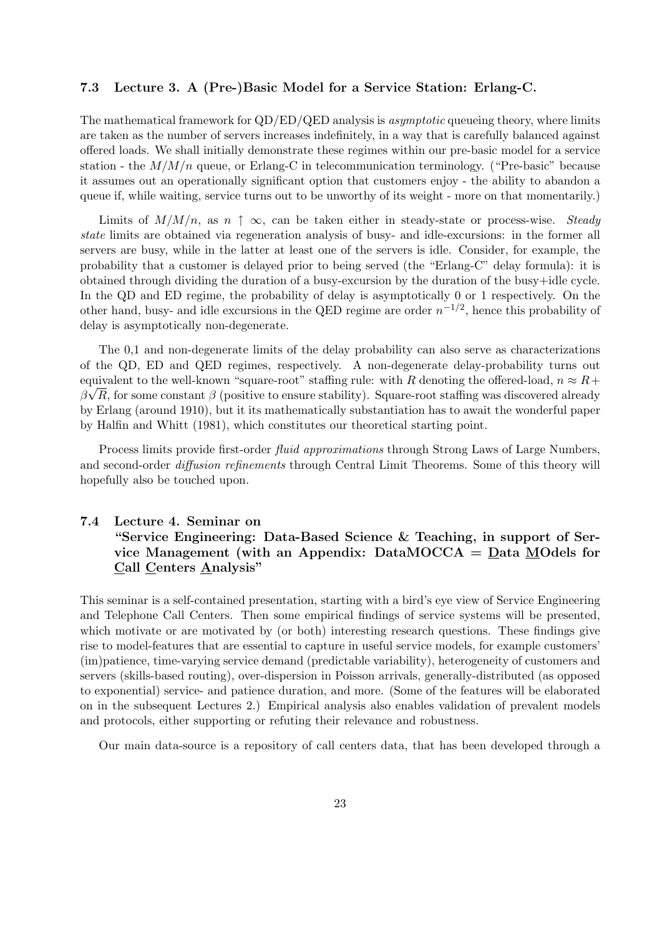### 7.3 Lecture 3. A (Pre-)Basic Model for a Service Station: Erlang-C.

The mathematical framework for  $QD/ED/QED$  analysis is *asymptotic* queueing theory, where limits are taken as the number of servers increases indefinitely, in a way that is carefully balanced against offered loads. We shall initially demonstrate these regimes within our pre-basic model for a service station - the  $M/M/n$  queue, or Erlang-C in telecommunication terminology. ("Pre-basic" because it assumes out an operationally significant option that customers enjoy - the ability to abandon a queue if, while waiting, service turns out to be unworthy of its weight - more on that momentarily.)

Limits of  $M/M/n$ , as  $n \uparrow \infty$ , can be taken either in steady-state or process-wise. Steady state limits are obtained via regeneration analysis of busy- and idle-excursions: in the former all servers are busy, while in the latter at least one of the servers is idle. Consider, for example, the probability that a customer is delayed prior to being served (the "Erlang-C" delay formula): it is obtained through dividing the duration of a busy-excursion by the duration of the busy+idle cycle. In the QD and ED regime, the probability of delay is asymptotically 0 or 1 respectively. On the other hand, busy- and idle excursions in the QED regime are order  $n^{-1/2}$ , hence this probability of delay is asymptotically non-degenerate.

The 0,1 and non-degenerate limits of the delay probability can also serve as characterizations of the QD, ED and QED regimes, respectively. A non-degenerate delay-probability turns out equivalent to the well-known "square-root" staffing rule: with R denoting the offered-load,  $n \approx R +$  $\beta\sqrt{R}$ , for some constant  $\beta$  (positive to ensure stability). Square-root staffing was discovered already by Erlang (around 1910), but it its mathematically substantiation has to await the wonderful paper by Halfin and Whitt (1981), which constitutes our theoretical starting point.

Process limits provide first-order *fluid approximations* through Strong Laws of Large Numbers, and second-order *diffusion refinements* through Central Limit Theorems. Some of this theory will hopefully also be touched upon.

## 7.4 Lecture 4. Seminar on "Service Engineering: Data-Based Science & Teaching, in support of Service Management (with an Appendix: DataMOCCA = Data MOdels for Call Centers Analysis"

This seminar is a self-contained presentation, starting with a bird's eye view of Service Engineering and Telephone Call Centers. Then some empirical findings of service systems will be presented, which motivate or are motivated by (or both) interesting research questions. These findings give rise to model-features that are essential to capture in useful service models, for example customers' (im)patience, time-varying service demand (predictable variability), heterogeneity of customers and servers (skills-based routing), over-dispersion in Poisson arrivals, generally-distributed (as opposed to exponential) service- and patience duration, and more. (Some of the features will be elaborated on in the subsequent Lectures 2.) Empirical analysis also enables validation of prevalent models and protocols, either supporting or refuting their relevance and robustness.

Our main data-source is a repository of call centers data, that has been developed through a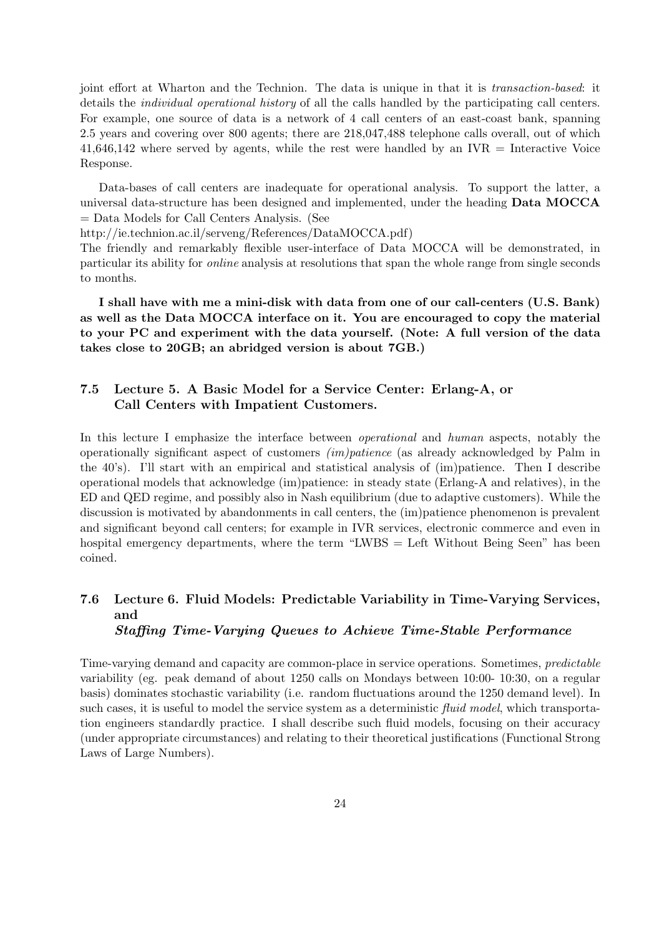joint effort at Wharton and the Technion. The data is unique in that it is transaction-based: it details the individual operational history of all the calls handled by the participating call centers. For example, one source of data is a network of 4 call centers of an east-coast bank, spanning 2.5 years and covering over 800 agents; there are 218,047,488 telephone calls overall, out of which  $41,646,142$  where served by agents, while the rest were handled by an IVR  $=$  Interactive Voice Response.

Data-bases of call centers are inadequate for operational analysis. To support the latter, a universal data-structure has been designed and implemented, under the heading Data MOCCA = Data Models for Call Centers Analysis. (See

http://ie.technion.ac.il/serveng/References/DataMOCCA.pdf)

The friendly and remarkably flexible user-interface of Data MOCCA will be demonstrated, in particular its ability for online analysis at resolutions that span the whole range from single seconds to months.

I shall have with me a mini-disk with data from one of our call-centers (U.S. Bank) as well as the Data MOCCA interface on it. You are encouraged to copy the material to your PC and experiment with the data yourself. (Note: A full version of the data takes close to 20GB; an abridged version is about 7GB.)

## 7.5 Lecture 5. A Basic Model for a Service Center: Erlang-A, or Call Centers with Impatient Customers.

In this lecture I emphasize the interface between *operational* and *human* aspects, notably the operationally significant aspect of customers (im)patience (as already acknowledged by Palm in the 40's). I'll start with an empirical and statistical analysis of (im)patience. Then I describe operational models that acknowledge (im)patience: in steady state (Erlang-A and relatives), in the ED and QED regime, and possibly also in Nash equilibrium (due to adaptive customers). While the discussion is motivated by abandonments in call centers, the (im)patience phenomenon is prevalent and significant beyond call centers; for example in IVR services, electronic commerce and even in hospital emergency departments, where the term "LWBS = Left Without Being Seen" has been coined.

## 7.6 Lecture 6. Fluid Models: Predictable Variability in Time-Varying Services, and Staffing Time-Varying Queues to Achieve Time-Stable Performance

Time-varying demand and capacity are common-place in service operations. Sometimes, predictable variability (eg. peak demand of about 1250 calls on Mondays between 10:00- 10:30, on a regular basis) dominates stochastic variability (i.e. random fluctuations around the 1250 demand level). In such cases, it is useful to model the service system as a deterministic fluid model, which transportation engineers standardly practice. I shall describe such fluid models, focusing on their accuracy (under appropriate circumstances) and relating to their theoretical justifications (Functional Strong Laws of Large Numbers).